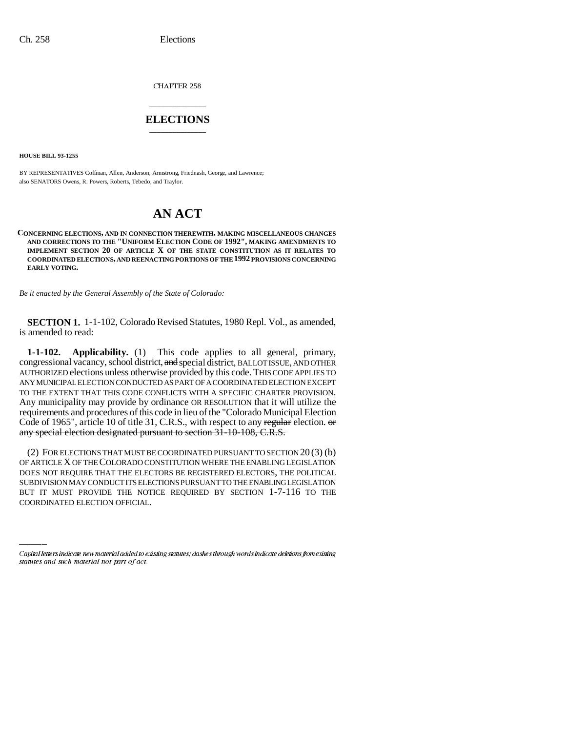CHAPTER 258

## \_\_\_\_\_\_\_\_\_\_\_\_\_\_\_ **ELECTIONS** \_\_\_\_\_\_\_\_\_\_\_\_\_\_\_

**HOUSE BILL 93-1255**

BY REPRESENTATIVES Coffman, Allen, Anderson, Armstrong, Friednash, George, and Lawrence; also SENATORS Owens, R. Powers, Roberts, Tebedo, and Traylor.

# **AN ACT**

**CONCERNING ELECTIONS, AND IN CONNECTION THEREWITH, MAKING MISCELLANEOUS CHANGES AND CORRECTIONS TO THE "UNIFORM ELECTION CODE OF 1992", MAKING AMENDMENTS TO IMPLEMENT SECTION 20 OF ARTICLE X OF THE STATE CONSTITUTION AS IT RELATES TO COORDINATED ELECTIONS, AND REENACTING PORTIONS OF THE 1992 PROVISIONS CONCERNING EARLY VOTING.**

*Be it enacted by the General Assembly of the State of Colorado:*

**SECTION 1.** 1-1-102, Colorado Revised Statutes, 1980 Repl. Vol., as amended, is amended to read:

**1-1-102. Applicability.** (1) This code applies to all general, primary, congressional vacancy, school district, and special district, BALLOT ISSUE, AND OTHER AUTHORIZED elections unless otherwise provided by this code. THIS CODE APPLIES TO ANY MUNICIPAL ELECTION CONDUCTED AS PART OF A COORDINATED ELECTION EXCEPT TO THE EXTENT THAT THIS CODE CONFLICTS WITH A SPECIFIC CHARTER PROVISION. Any municipality may provide by ordinance OR RESOLUTION that it will utilize the requirements and procedures of this code in lieu of the "Colorado Municipal Election Code of 1965", article 10 of title 31, C.R.S., with respect to any regular election. or any special election designated pursuant to section 31-10-108, C.R.S.

DOES NOT REQUIRE THAT THE ELECTORS BE REGISTERED ELECTORS, THE POLITICAL (2) FOR ELECTIONS THAT MUST BE COORDINATED PURSUANT TO SECTION 20 (3) (b) OF ARTICLE X OF THE COLORADO CONSTITUTION WHERE THE ENABLING LEGISLATION SUBDIVISION MAY CONDUCT ITS ELECTIONS PURSUANT TO THE ENABLING LEGISLATION BUT IT MUST PROVIDE THE NOTICE REQUIRED BY SECTION 1-7-116 TO THE COORDINATED ELECTION OFFICIAL.

Capital letters indicate new material added to existing statutes; dashes through words indicate deletions from existing statutes and such material not part of act.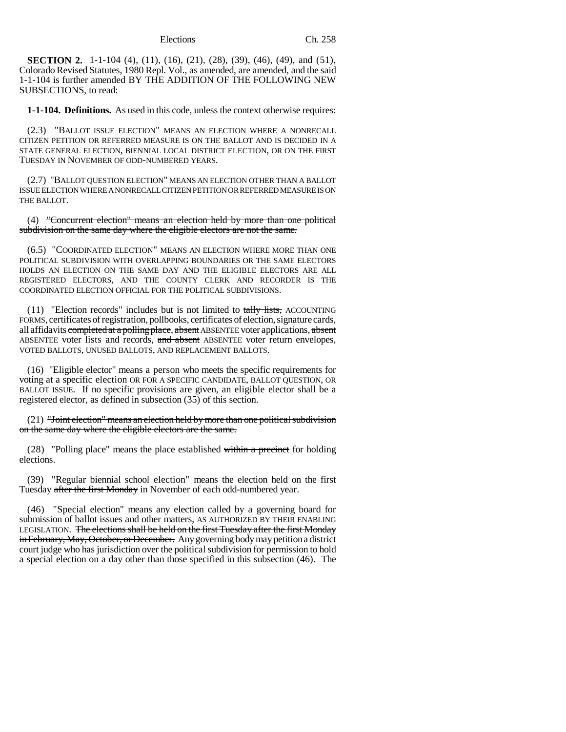**SECTION 2.** 1-1-104 (4), (11), (16), (21), (28), (39), (46), (49), and (51), Colorado Revised Statutes, 1980 Repl. Vol., as amended, are amended, and the said 1-1-104 is further amended BY THE ADDITION OF THE FOLLOWING NEW SUBSECTIONS, to read:

**1-1-104. Definitions.** As used in this code, unless the context otherwise requires:

(2.3) "BALLOT ISSUE ELECTION" MEANS AN ELECTION WHERE A NONRECALL CITIZEN PETITION OR REFERRED MEASURE IS ON THE BALLOT AND IS DECIDED IN A STATE GENERAL ELECTION, BIENNIAL LOCAL DISTRICT ELECTION, OR ON THE FIRST TUESDAY IN NOVEMBER OF ODD-NUMBERED YEARS.

(2.7) "BALLOT QUESTION ELECTION" MEANS AN ELECTION OTHER THAN A BALLOT ISSUE ELECTION WHERE A NONRECALL CITIZEN PETITION OR REFERRED MEASURE IS ON THE BALLOT.

(4) "Concurrent election" means an election held by more than one political subdivision on the same day where the eligible electors are not the same.

(6.5) "COORDINATED ELECTION" MEANS AN ELECTION WHERE MORE THAN ONE POLITICAL SUBDIVISION WITH OVERLAPPING BOUNDARIES OR THE SAME ELECTORS HOLDS AN ELECTION ON THE SAME DAY AND THE ELIGIBLE ELECTORS ARE ALL REGISTERED ELECTORS, AND THE COUNTY CLERK AND RECORDER IS THE COORDINATED ELECTION OFFICIAL FOR THE POLITICAL SUBDIVISIONS.

 $(11)$  "Election records" includes but is not limited to tally lists, ACCOUNTING FORMS, certificates of registration, pollbooks, certificates of election, signature cards, all affidavits completed at a polling place, absent ABSENTEE voter applications, absent ABSENTEE voter lists and records, and absent ABSENTEE voter return envelopes, VOTED BALLOTS, UNUSED BALLOTS, AND REPLACEMENT BALLOTS.

(16) "Eligible elector" means a person who meets the specific requirements for voting at a specific election OR FOR A SPECIFIC CANDIDATE, BALLOT QUESTION, OR BALLOT ISSUE. If no specific provisions are given, an eligible elector shall be a registered elector, as defined in subsection (35) of this section.

(21) "Joint election" means an election held by more than one political subdivision on the same day where the eligible electors are the same.

(28) "Polling place" means the place established within a precinct for holding elections.

(39) "Regular biennial school election" means the election held on the first Tuesday after the first Monday in November of each odd-numbered year.

(46) "Special election" means any election called by a governing board for submission of ballot issues and other matters, AS AUTHORIZED BY THEIR ENABLING LEGISLATION. The elections shall be held on the first Tuesday after the first Monday in February, May, October, or December. Any governing body may petition a district court judge who has jurisdiction over the political subdivision for permission to hold a special election on a day other than those specified in this subsection (46). The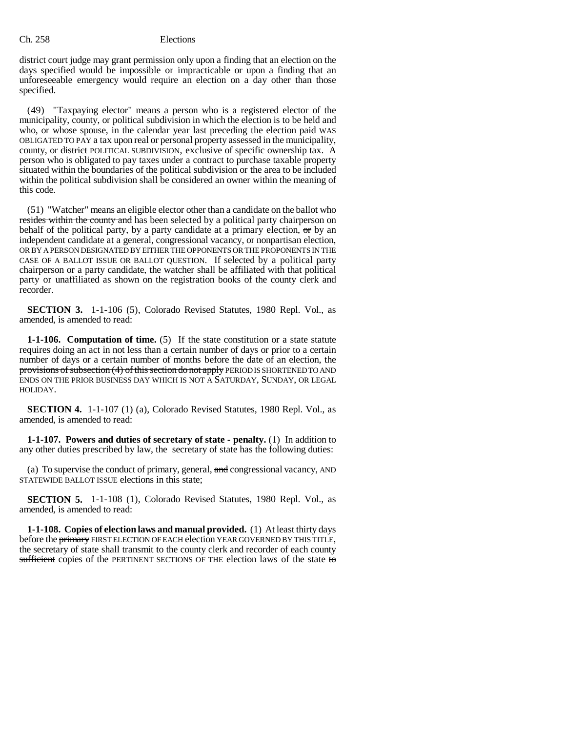district court judge may grant permission only upon a finding that an election on the days specified would be impossible or impracticable or upon a finding that an unforeseeable emergency would require an election on a day other than those specified.

(49) "Taxpaying elector" means a person who is a registered elector of the municipality, county, or political subdivision in which the election is to be held and who, or whose spouse, in the calendar year last preceding the election paid WAS OBLIGATED TO PAY a tax upon real or personal property assessed in the municipality, county, or district POLITICAL SUBDIVISION, exclusive of specific ownership tax. A person who is obligated to pay taxes under a contract to purchase taxable property situated within the boundaries of the political subdivision or the area to be included within the political subdivision shall be considered an owner within the meaning of this code.

(51) "Watcher" means an eligible elector other than a candidate on the ballot who resides within the county and has been selected by a political party chairperson on behalf of the political party, by a party candidate at a primary election,  $\sigma r$  by an independent candidate at a general, congressional vacancy, or nonpartisan election, OR BY A PERSON DESIGNATED BY EITHER THE OPPONENTS OR THE PROPONENTS IN THE CASE OF A BALLOT ISSUE OR BALLOT QUESTION. If selected by a political party chairperson or a party candidate, the watcher shall be affiliated with that political party or unaffiliated as shown on the registration books of the county clerk and recorder.

**SECTION 3.** 1-1-106 (5), Colorado Revised Statutes, 1980 Repl. Vol., as amended, is amended to read:

**1-1-106. Computation of time.** (5) If the state constitution or a state statute requires doing an act in not less than a certain number of days or prior to a certain number of days or a certain number of months before the date of an election, the provisions of subsection (4) of this section do not apply PERIOD IS SHORTENED TO AND ENDS ON THE PRIOR BUSINESS DAY WHICH IS NOT A SATURDAY, SUNDAY, OR LEGAL HOLIDAY.

**SECTION 4.** 1-1-107 (1) (a), Colorado Revised Statutes, 1980 Repl. Vol., as amended, is amended to read:

**1-1-107. Powers and duties of secretary of state - penalty.** (1) In addition to any other duties prescribed by law, the secretary of state has the following duties:

(a) To supervise the conduct of primary, general, and congressional vacancy, AND STATEWIDE BALLOT ISSUE elections in this state;

**SECTION 5.** 1-1-108 (1), Colorado Revised Statutes, 1980 Repl. Vol., as amended, is amended to read:

**1-1-108. Copies of election laws and manual provided.** (1) At least thirty days before the primary FIRST ELECTION OF EACH election YEAR GOVERNED BY THIS TITLE, the secretary of state shall transmit to the county clerk and recorder of each county sufficient copies of the PERTINENT SECTIONS OF THE election laws of the state to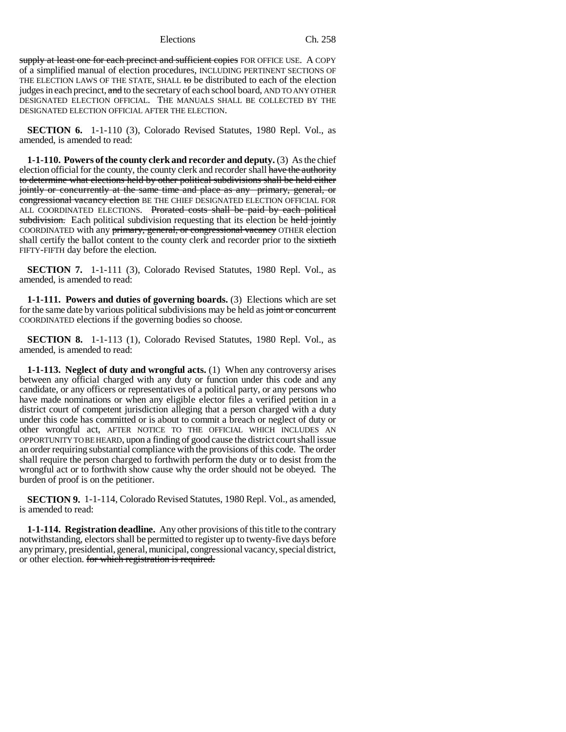supply at least one for each precinct and sufficient copies FOR OFFICE USE. A COPY of a simplified manual of election procedures, INCLUDING PERTINENT SECTIONS OF THE ELECTION LAWS OF THE STATE, SHALL to be distributed to each of the election judges in each precinct, and to the secretary of each school board, AND TO ANY OTHER DESIGNATED ELECTION OFFICIAL. THE MANUALS SHALL BE COLLECTED BY THE DESIGNATED ELECTION OFFICIAL AFTER THE ELECTION.

**SECTION 6.** 1-1-110 (3), Colorado Revised Statutes, 1980 Repl. Vol., as amended, is amended to read:

**1-1-110. Powers of the county clerk and recorder and deputy.** (3) As the chief election official for the county, the county clerk and recorder shall have the authority to determine what elections held by other political subdivisions shall be held either jointly or concurrently at the same time and place as any primary, general, or congressional vacancy election BE THE CHIEF DESIGNATED ELECTION OFFICIAL FOR ALL COORDINATED ELECTIONS. Prorated costs shall be paid by each political subdivision. Each political subdivision requesting that its election be held jointly COORDINATED with any primary, general, or congressional vacancy OTHER election shall certify the ballot content to the county clerk and recorder prior to the sixtieth FIFTY-FIFTH day before the election.

**SECTION 7.** 1-1-111 (3), Colorado Revised Statutes, 1980 Repl. Vol., as amended, is amended to read:

**1-1-111. Powers and duties of governing boards.** (3) Elections which are set for the same date by various political subdivisions may be held as joint or concurrent COORDINATED elections if the governing bodies so choose.

**SECTION 8.** 1-1-113 (1), Colorado Revised Statutes, 1980 Repl. Vol., as amended, is amended to read:

**1-1-113. Neglect of duty and wrongful acts.** (1) When any controversy arises between any official charged with any duty or function under this code and any candidate, or any officers or representatives of a political party, or any persons who have made nominations or when any eligible elector files a verified petition in a district court of competent jurisdiction alleging that a person charged with a duty under this code has committed or is about to commit a breach or neglect of duty or other wrongful act, AFTER NOTICE TO THE OFFICIAL WHICH INCLUDES AN OPPORTUNITY TO BE HEARD, upon a finding of good cause the district court shall issue an order requiring substantial compliance with the provisions of this code. The order shall require the person charged to forthwith perform the duty or to desist from the wrongful act or to forthwith show cause why the order should not be obeyed. The burden of proof is on the petitioner.

**SECTION 9.** 1-1-114, Colorado Revised Statutes, 1980 Repl. Vol., as amended, is amended to read:

**1-1-114. Registration deadline.** Any other provisions of this title to the contrary notwithstanding, electors shall be permitted to register up to twenty-five days before any primary, presidential, general, municipal, congressional vacancy, special district, or other election. for which registration is required.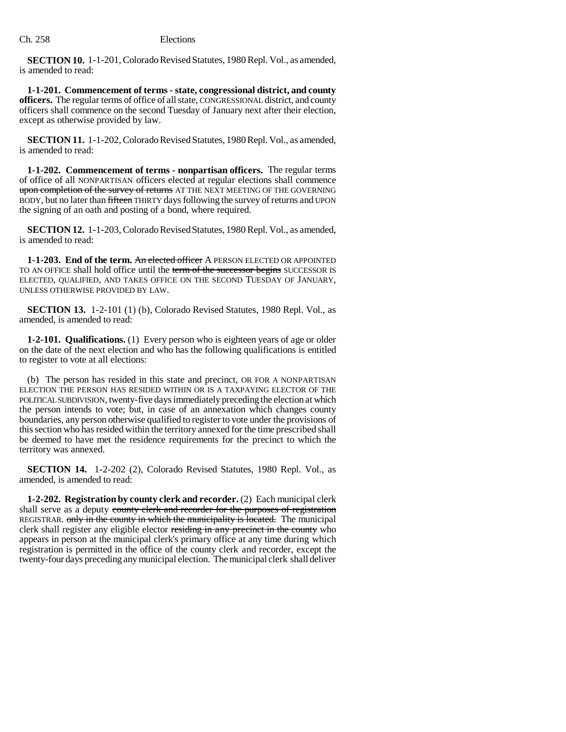**SECTION 10.** 1-1-201, Colorado Revised Statutes, 1980 Repl. Vol., as amended, is amended to read:

**1-1-201. Commencement of terms - state, congressional district, and county officers.** The regular terms of office of all state, CONGRESSIONAL district, and county officers shall commence on the second Tuesday of January next after their election, except as otherwise provided by law.

**SECTION 11.** 1-1-202, Colorado Revised Statutes, 1980 Repl. Vol., as amended, is amended to read:

**1-1-202. Commencement of terms - nonpartisan officers.** The regular terms of office of all NONPARTISAN officers elected at regular elections shall commence upon completion of the survey of returns AT THE NEXT MEETING OF THE GOVERNING BODY, but no later than fifteen THIRTY days following the survey of returns and UPON the signing of an oath and posting of a bond, where required.

**SECTION 12.** 1-1-203, Colorado Revised Statutes, 1980 Repl. Vol., as amended, is amended to read:

**1-1-203. End of the term.** An elected officer A PERSON ELECTED OR APPOINTED TO AN OFFICE shall hold office until the term of the successor begins SUCCESSOR IS ELECTED, QUALIFIED, AND TAKES OFFICE ON THE SECOND TUESDAY OF JANUARY, UNLESS OTHERWISE PROVIDED BY LAW.

**SECTION 13.** 1-2-101 (1) (b), Colorado Revised Statutes, 1980 Repl. Vol., as amended, is amended to read:

**1-2-101. Qualifications.** (1) Every person who is eighteen years of age or older on the date of the next election and who has the following qualifications is entitled to register to vote at all elections:

(b) The person has resided in this state and precinct, OR FOR A NONPARTISAN ELECTION THE PERSON HAS RESIDED WITHIN OR IS A TAXPAYING ELECTOR OF THE POLITICAL SUBDIVISION, twenty-five days immediately preceding the election at which the person intends to vote; but, in case of an annexation which changes county boundaries, any person otherwise qualified to register to vote under the provisions of this section who has resided within the territory annexed for the time prescribed shall be deemed to have met the residence requirements for the precinct to which the territory was annexed.

**SECTION 14.** 1-2-202 (2), Colorado Revised Statutes, 1980 Repl. Vol., as amended, is amended to read:

**1-2-202. Registration by county clerk and recorder.** (2) Each municipal clerk shall serve as a deputy county clerk and recorder for the purposes of registration REGISTRAR. only in the county in which the municipality is located. The municipal clerk shall register any eligible elector residing in any precinct in the county who appears in person at the municipal clerk's primary office at any time during which registration is permitted in the office of the county clerk and recorder, except the twenty-four days preceding any municipal election. The municipal clerk shall deliver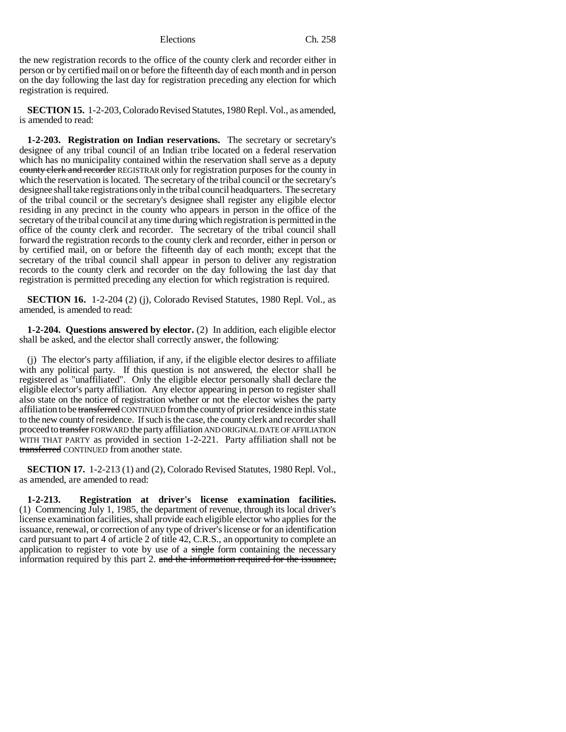the new registration records to the office of the county clerk and recorder either in person or by certified mail on or before the fifteenth day of each month and in person on the day following the last day for registration preceding any election for which registration is required.

**SECTION 15.** 1-2-203, Colorado Revised Statutes, 1980 Repl. Vol., as amended, is amended to read:

**1-2-203. Registration on Indian reservations.** The secretary or secretary's designee of any tribal council of an Indian tribe located on a federal reservation which has no municipality contained within the reservation shall serve as a deputy county clerk and recorder REGISTRAR only for registration purposes for the county in which the reservation is located. The secretary of the tribal council or the secretary's designee shall take registrations only in the tribal council headquarters. The secretary of the tribal council or the secretary's designee shall register any eligible elector residing in any precinct in the county who appears in person in the office of the secretary of the tribal council at any time during which registration is permitted in the office of the county clerk and recorder. The secretary of the tribal council shall forward the registration records to the county clerk and recorder, either in person or by certified mail, on or before the fifteenth day of each month; except that the secretary of the tribal council shall appear in person to deliver any registration records to the county clerk and recorder on the day following the last day that registration is permitted preceding any election for which registration is required.

**SECTION 16.** 1-2-204 (2) (j), Colorado Revised Statutes, 1980 Repl. Vol., as amended, is amended to read:

**1-2-204. Questions answered by elector.** (2) In addition, each eligible elector shall be asked, and the elector shall correctly answer, the following:

(j) The elector's party affiliation, if any, if the eligible elector desires to affiliate with any political party. If this question is not answered, the elector shall be registered as "unaffiliated". Only the eligible elector personally shall declare the eligible elector's party affiliation. Any elector appearing in person to register shall also state on the notice of registration whether or not the elector wishes the party affiliation to be transferred CONTINUED from the county of prior residence in this state to the new county of residence. If such is the case, the county clerk and recorder shall proceed to transfer FORWARD the party affiliation AND ORIGINAL DATE OF AFFILIATION WITH THAT PARTY as provided in section 1-2-221. Party affiliation shall not be transferred CONTINUED from another state.

**SECTION 17.** 1-2-213 (1) and (2), Colorado Revised Statutes, 1980 Repl. Vol., as amended, are amended to read:

**1-2-213. Registration at driver's license examination facilities.** (1) Commencing July 1, 1985, the department of revenue, through its local driver's license examination facilities, shall provide each eligible elector who applies for the issuance, renewal, or correction of any type of driver's license or for an identification card pursuant to part 4 of article 2 of title 42, C.R.S., an opportunity to complete an application to register to vote by use of a single form containing the necessary information required by this part 2. and the information required for the issuance,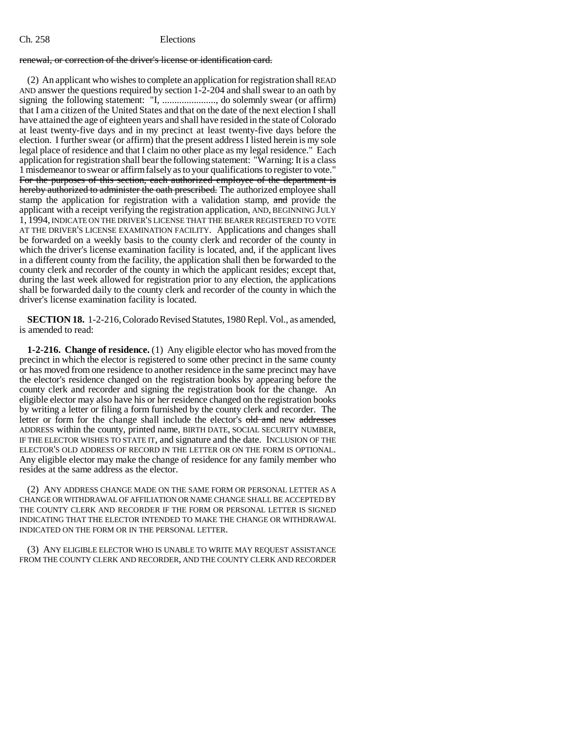### renewal, or correction of the driver's license or identification card.

(2) An applicant who wishes to complete an application for registration shall READ AND answer the questions required by section 1-2-204 and shall swear to an oath by signing the following statement: "I, ......................, do solemnly swear (or affirm) that I am a citizen of the United States and that on the date of the next election I shall have attained the age of eighteen years and shall have resided in the state of Colorado at least twenty-five days and in my precinct at least twenty-five days before the election. I further swear (or affirm) that the present address I listed herein is my sole legal place of residence and that I claim no other place as my legal residence." Each application for registration shall bear the following statement: "Warning: It is a class 1 misdemeanor to swear or affirm falsely as to your qualifications to register to vote." For the purposes of this section, each authorized employee of the department is hereby authorized to administer the oath prescribed. The authorized employee shall stamp the application for registration with a validation stamp, and provide the applicant with a receipt verifying the registration application, AND, BEGINNING JULY 1, 1994, INDICATE ON THE DRIVER'S LICENSE THAT THE BEARER REGISTERED TO VOTE AT THE DRIVER'S LICENSE EXAMINATION FACILITY. Applications and changes shall be forwarded on a weekly basis to the county clerk and recorder of the county in which the driver's license examination facility is located, and, if the applicant lives in a different county from the facility, the application shall then be forwarded to the county clerk and recorder of the county in which the applicant resides; except that, during the last week allowed for registration prior to any election, the applications shall be forwarded daily to the county clerk and recorder of the county in which the driver's license examination facility is located.

**SECTION 18.** 1-2-216, Colorado Revised Statutes, 1980 Repl. Vol., as amended, is amended to read:

**1-2-216. Change of residence.** (1) Any eligible elector who has moved from the precinct in which the elector is registered to some other precinct in the same county or has moved from one residence to another residence in the same precinct may have the elector's residence changed on the registration books by appearing before the county clerk and recorder and signing the registration book for the change. An eligible elector may also have his or her residence changed on the registration books by writing a letter or filing a form furnished by the county clerk and recorder. The letter or form for the change shall include the elector's old and new addresses ADDRESS within the county, printed name, BIRTH DATE, SOCIAL SECURITY NUMBER, IF THE ELECTOR WISHES TO STATE IT, and signature and the date. INCLUSION OF THE ELECTOR'S OLD ADDRESS OF RECORD IN THE LETTER OR ON THE FORM IS OPTIONAL. Any eligible elector may make the change of residence for any family member who resides at the same address as the elector.

(2) ANY ADDRESS CHANGE MADE ON THE SAME FORM OR PERSONAL LETTER AS A CHANGE OR WITHDRAWAL OF AFFILIATION OR NAME CHANGE SHALL BE ACCEPTED BY THE COUNTY CLERK AND RECORDER IF THE FORM OR PERSONAL LETTER IS SIGNED INDICATING THAT THE ELECTOR INTENDED TO MAKE THE CHANGE OR WITHDRAWAL INDICATED ON THE FORM OR IN THE PERSONAL LETTER.

(3) ANY ELIGIBLE ELECTOR WHO IS UNABLE TO WRITE MAY REQUEST ASSISTANCE FROM THE COUNTY CLERK AND RECORDER, AND THE COUNTY CLERK AND RECORDER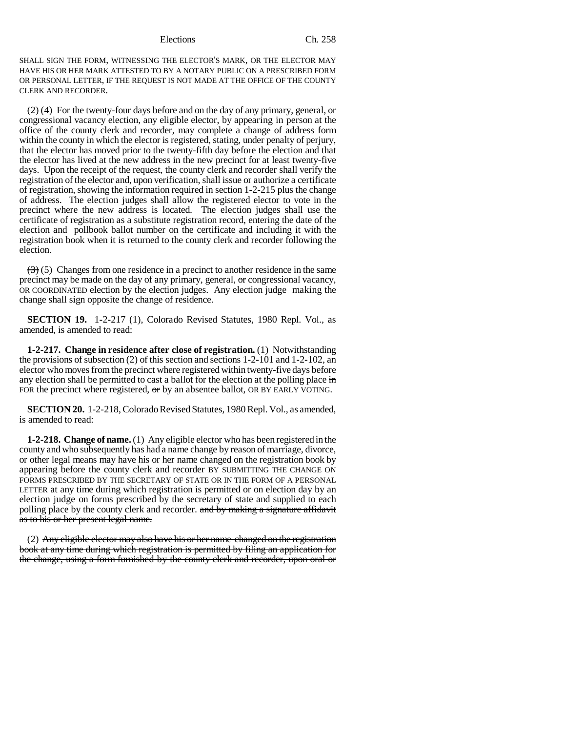SHALL SIGN THE FORM, WITNESSING THE ELECTOR'S MARK, OR THE ELECTOR MAY HAVE HIS OR HER MARK ATTESTED TO BY A NOTARY PUBLIC ON A PRESCRIBED FORM OR PERSONAL LETTER, IF THE REQUEST IS NOT MADE AT THE OFFICE OF THE COUNTY CLERK AND RECORDER.

 $(2)$  (4) For the twenty-four days before and on the day of any primary, general, or congressional vacancy election, any eligible elector, by appearing in person at the office of the county clerk and recorder, may complete a change of address form within the county in which the elector is registered, stating, under penalty of perjury, that the elector has moved prior to the twenty-fifth day before the election and that the elector has lived at the new address in the new precinct for at least twenty-five days. Upon the receipt of the request, the county clerk and recorder shall verify the registration of the elector and, upon verification, shall issue or authorize a certificate of registration, showing the information required in section 1-2-215 plus the change of address. The election judges shall allow the registered elector to vote in the precinct where the new address is located. The election judges shall use the certificate of registration as a substitute registration record, entering the date of the election and pollbook ballot number on the certificate and including it with the registration book when it is returned to the county clerk and recorder following the election.

 $\left(\frac{1}{2}\right)$  (5) Changes from one residence in a precinct to another residence in the same precinct may be made on the day of any primary, general, or congressional vacancy, OR COORDINATED election by the election judges. Any election judge making the change shall sign opposite the change of residence.

**SECTION 19.** 1-2-217 (1), Colorado Revised Statutes, 1980 Repl. Vol., as amended, is amended to read:

**1-2-217. Change in residence after close of registration.** (1) Notwithstanding the provisions of subsection (2) of this section and sections 1-2-101 and 1-2-102, an elector who moves from the precinct where registered within twenty-five days before any election shall be permitted to cast a ballot for the election at the polling place in FOR the precinct where registered,  $\sigma$ r by an absentee ballot, OR BY EARLY VOTING.

**SECTION 20.** 1-2-218, Colorado Revised Statutes, 1980 Repl. Vol., as amended, is amended to read:

**1-2-218. Change of name.** (1) Any eligible elector who has been registered in the county and who subsequently has had a name change by reason of marriage, divorce, or other legal means may have his or her name changed on the registration book by appearing before the county clerk and recorder BY SUBMITTING THE CHANGE ON FORMS PRESCRIBED BY THE SECRETARY OF STATE OR IN THE FORM OF A PERSONAL LETTER at any time during which registration is permitted or on election day by an election judge on forms prescribed by the secretary of state and supplied to each polling place by the county clerk and recorder. and by making a signature affidavit as to his or her present legal name.

(2) Any eligible elector may also have his or her name changed on the registration book at any time during which registration is permitted by filing an application for the change, using a form furnished by the county clerk and recorder, upon oral or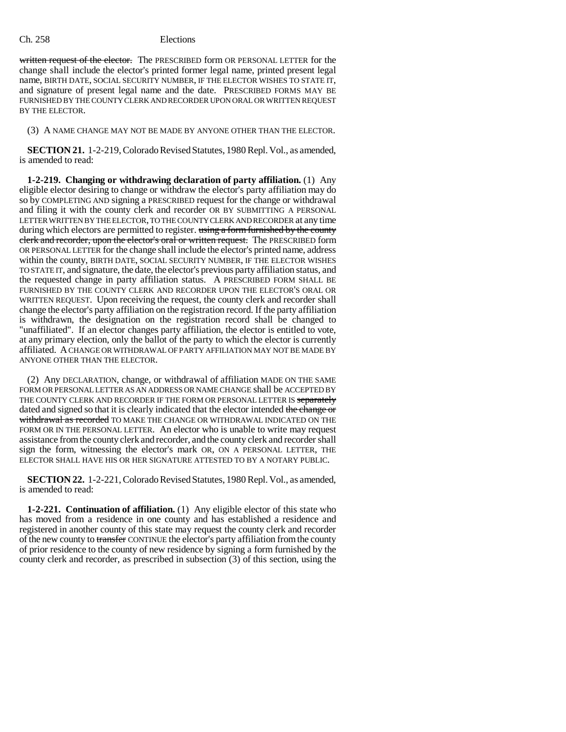written request of the elector. The PRESCRIBED form OR PERSONAL LETTER for the change shall include the elector's printed former legal name, printed present legal name, BIRTH DATE, SOCIAL SECURITY NUMBER, IF THE ELECTOR WISHES TO STATE IT, and signature of present legal name and the date. PRESCRIBED FORMS MAY BE FURNISHED BY THE COUNTY CLERK AND RECORDER UPON ORAL OR WRITTEN REQUEST BY THE ELECTOR.

(3) A NAME CHANGE MAY NOT BE MADE BY ANYONE OTHER THAN THE ELECTOR.

**SECTION 21.** 1-2-219, Colorado Revised Statutes, 1980 Repl. Vol., as amended, is amended to read:

**1-2-219. Changing or withdrawing declaration of party affiliation.** (1) Any eligible elector desiring to change or withdraw the elector's party affiliation may do so by COMPLETING AND signing a PRESCRIBED request for the change or withdrawal and filing it with the county clerk and recorder OR BY SUBMITTING A PERSONAL LETTER WRITTEN BY THE ELECTOR, TO THE COUNTY CLERK AND RECORDER at any time during which electors are permitted to register. using a form furnished by the county clerk and recorder, upon the elector's oral or written request. The PRESCRIBED form OR PERSONAL LETTER for the change shall include the elector's printed name, address within the county, BIRTH DATE, SOCIAL SECURITY NUMBER, IF THE ELECTOR WISHES TO STATE IT, and signature, the date, the elector's previous party affiliation status, and the requested change in party affiliation status. A PRESCRIBED FORM SHALL BE FURNISHED BY THE COUNTY CLERK AND RECORDER UPON THE ELECTOR'S ORAL OR WRITTEN REQUEST. Upon receiving the request, the county clerk and recorder shall change the elector's party affiliation on the registration record. If the party affiliation is withdrawn, the designation on the registration record shall be changed to "unaffiliated". If an elector changes party affiliation, the elector is entitled to vote, at any primary election, only the ballot of the party to which the elector is currently affiliated. A CHANGE OR WITHDRAWAL OF PARTY AFFILIATION MAY NOT BE MADE BY ANYONE OTHER THAN THE ELECTOR.

(2) Any DECLARATION, change, or withdrawal of affiliation MADE ON THE SAME FORM OR PERSONAL LETTER AS AN ADDRESS OR NAME CHANGE shall be ACCEPTED BY THE COUNTY CLERK AND RECORDER IF THE FORM OR PERSONAL LETTER IS separately dated and signed so that it is clearly indicated that the elector intended the change or withdrawal as recorded TO MAKE THE CHANGE OR WITHDRAWAL INDICATED ON THE FORM OR IN THE PERSONAL LETTER. An elector who is unable to write may request assistance from the county clerk and recorder, and the county clerk and recorder shall sign the form, witnessing the elector's mark OR, ON A PERSONAL LETTER, THE ELECTOR SHALL HAVE HIS OR HER SIGNATURE ATTESTED TO BY A NOTARY PUBLIC.

**SECTION 22.** 1-2-221, Colorado Revised Statutes, 1980 Repl. Vol., as amended, is amended to read:

**1-2-221. Continuation of affiliation.** (1) Any eligible elector of this state who has moved from a residence in one county and has established a residence and registered in another county of this state may request the county clerk and recorder of the new county to transfer CONTINUE the elector's party affiliation from the county of prior residence to the county of new residence by signing a form furnished by the county clerk and recorder, as prescribed in subsection (3) of this section, using the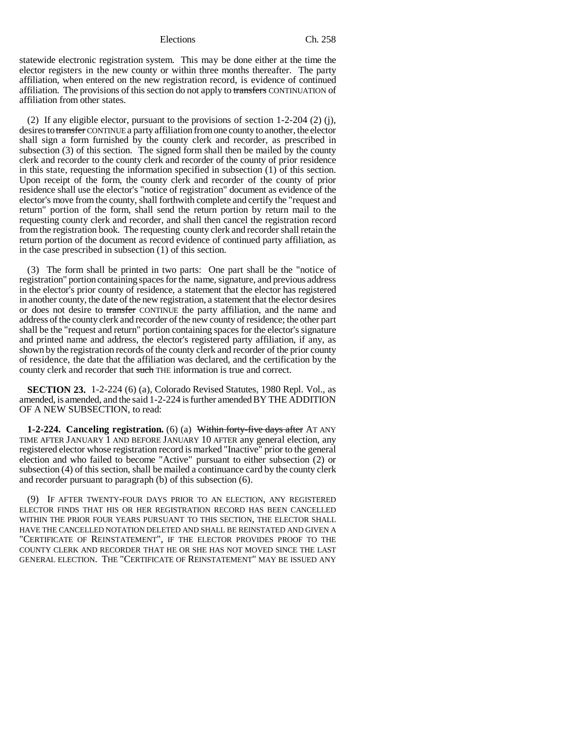statewide electronic registration system. This may be done either at the time the elector registers in the new county or within three months thereafter. The party affiliation, when entered on the new registration record, is evidence of continued affiliation. The provisions of this section do not apply to transfers CONTINUATION of affiliation from other states.

(2) If any eligible elector, pursuant to the provisions of section 1-2-204 (2) (j), desires to transfer CONTINUE a party affiliation from one county to another, the elector shall sign a form furnished by the county clerk and recorder, as prescribed in subsection (3) of this section. The signed form shall then be mailed by the county clerk and recorder to the county clerk and recorder of the county of prior residence in this state, requesting the information specified in subsection (1) of this section. Upon receipt of the form, the county clerk and recorder of the county of prior residence shall use the elector's "notice of registration" document as evidence of the elector's move from the county, shall forthwith complete and certify the "request and return" portion of the form, shall send the return portion by return mail to the requesting county clerk and recorder, and shall then cancel the registration record from the registration book. The requesting county clerk and recorder shall retain the return portion of the document as record evidence of continued party affiliation, as in the case prescribed in subsection (1) of this section.

(3) The form shall be printed in two parts: One part shall be the "notice of registration" portion containing spaces for the name, signature, and previous address in the elector's prior county of residence, a statement that the elector has registered in another county, the date of the new registration, a statement that the elector desires or does not desire to transfer CONTINUE the party affiliation, and the name and address of the county clerk and recorder of the new county of residence; the other part shall be the "request and return" portion containing spaces for the elector's signature and printed name and address, the elector's registered party affiliation, if any, as shown by the registration records of the county clerk and recorder of the prior county of residence, the date that the affiliation was declared, and the certification by the county clerk and recorder that such THE information is true and correct.

**SECTION 23.** 1-2-224 (6) (a), Colorado Revised Statutes, 1980 Repl. Vol., as amended, is amended, and the said 1-2-224 is further amended BY THE ADDITION OF A NEW SUBSECTION, to read:

**1-2-224. Canceling registration.** (6) (a) Within forty-five days after AT ANY TIME AFTER JANUARY 1 AND BEFORE JANUARY 10 AFTER any general election, any registered elector whose registration record is marked "Inactive" prior to the general election and who failed to become "Active" pursuant to either subsection (2) or subsection (4) of this section, shall be mailed a continuance card by the county clerk and recorder pursuant to paragraph (b) of this subsection (6).

(9) IF AFTER TWENTY-FOUR DAYS PRIOR TO AN ELECTION, ANY REGISTERED ELECTOR FINDS THAT HIS OR HER REGISTRATION RECORD HAS BEEN CANCELLED WITHIN THE PRIOR FOUR YEARS PURSUANT TO THIS SECTION, THE ELECTOR SHALL HAVE THE CANCELLED NOTATION DELETED AND SHALL BE REINSTATED AND GIVEN A "CERTIFICATE OF REINSTATEMENT", IF THE ELECTOR PROVIDES PROOF TO THE COUNTY CLERK AND RECORDER THAT HE OR SHE HAS NOT MOVED SINCE THE LAST GENERAL ELECTION. THE "CERTIFICATE OF REINSTATEMENT" MAY BE ISSUED ANY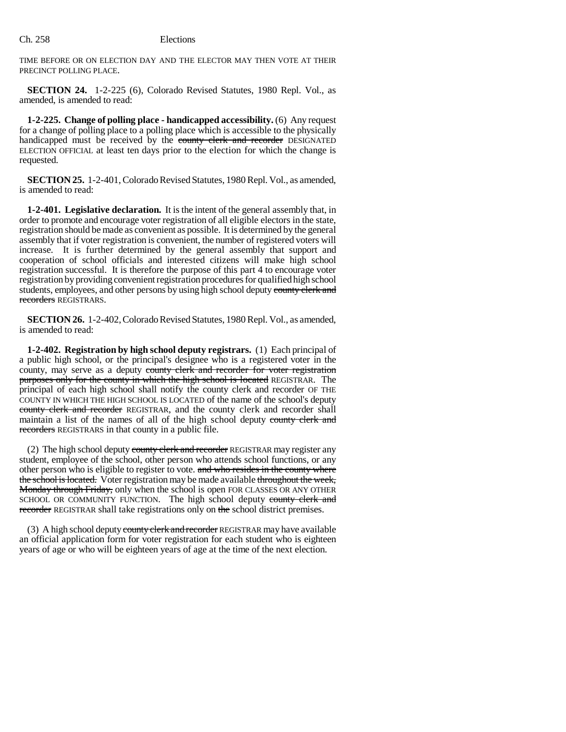TIME BEFORE OR ON ELECTION DAY AND THE ELECTOR MAY THEN VOTE AT THEIR PRECINCT POLLING PLACE.

**SECTION 24.** 1-2-225 (6), Colorado Revised Statutes, 1980 Repl. Vol., as amended, is amended to read:

**1-2-225. Change of polling place - handicapped accessibility.** (6) Any request for a change of polling place to a polling place which is accessible to the physically handicapped must be received by the county clerk and recorder DESIGNATED ELECTION OFFICIAL at least ten days prior to the election for which the change is requested.

**SECTION 25.** 1-2-401, Colorado Revised Statutes, 1980 Repl. Vol., as amended, is amended to read:

**1-2-401. Legislative declaration.** It is the intent of the general assembly that, in order to promote and encourage voter registration of all eligible electors in the state, registration should be made as convenient as possible. It is determined by the general assembly that if voter registration is convenient, the number of registered voters will increase. It is further determined by the general assembly that support and cooperation of school officials and interested citizens will make high school registration successful. It is therefore the purpose of this part 4 to encourage voter registration by providing convenient registration procedures for qualified high school students, employees, and other persons by using high school deputy county clerk and recorders REGISTRARS.

**SECTION 26.** 1-2-402, Colorado Revised Statutes, 1980 Repl. Vol., as amended, is amended to read:

**1-2-402. Registration by high school deputy registrars.** (1) Each principal of a public high school, or the principal's designee who is a registered voter in the county, may serve as a deputy county clerk and recorder for voter registration purposes only for the county in which the high school is located REGISTRAR. The principal of each high school shall notify the county clerk and recorder OF THE COUNTY IN WHICH THE HIGH SCHOOL IS LOCATED of the name of the school's deputy county clerk and recorder REGISTRAR, and the county clerk and recorder shall maintain a list of the names of all of the high school deputy county clerk and recorders REGISTRARS in that county in a public file.

(2) The high school deputy county clerk and recorder REGISTRAR may register any student, employee of the school, other person who attends school functions, or any other person who is eligible to register to vote. and who resides in the county where the school is located. Voter registration may be made available throughout the week, **Monday through Friday, only when the school is open FOR CLASSES OR ANY OTHER** SCHOOL OR COMMUNITY FUNCTION. The high school deputy county clerk and recorder REGISTRAR shall take registrations only on the school district premises.

(3) A high school deputy county clerk and recorder REGISTRAR may have available an official application form for voter registration for each student who is eighteen years of age or who will be eighteen years of age at the time of the next election.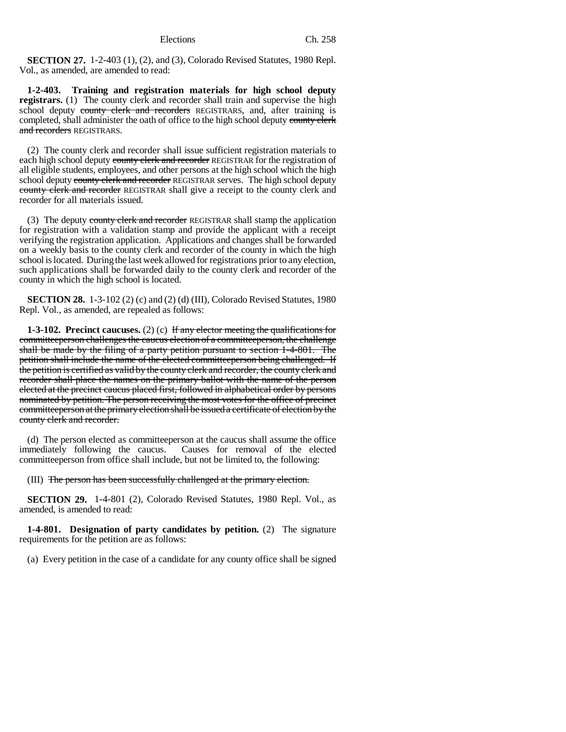**SECTION 27.** 1-2-403 (1), (2), and (3), Colorado Revised Statutes, 1980 Repl. Vol., as amended, are amended to read:

**1-2-403. Training and registration materials for high school deputy registrars.** (1) The county clerk and recorder shall train and supervise the high school deputy county clerk and recorders REGISTRARS, and, after training is completed, shall administer the oath of office to the high school deputy county clerk and recorders REGISTRARS.

(2) The county clerk and recorder shall issue sufficient registration materials to each high school deputy county clerk and recorder REGISTRAR for the registration of all eligible students, employees, and other persons at the high school which the high school deputy county clerk and recorder REGISTRAR serves. The high school deputy county clerk and recorder REGISTRAR shall give a receipt to the county clerk and recorder for all materials issued.

(3) The deputy county clerk and recorder REGISTRAR shall stamp the application for registration with a validation stamp and provide the applicant with a receipt verifying the registration application. Applications and changes shall be forwarded on a weekly basis to the county clerk and recorder of the county in which the high school is located. During the last week allowed for registrations prior to any election, such applications shall be forwarded daily to the county clerk and recorder of the county in which the high school is located.

**SECTION 28.** 1-3-102 (2) (c) and (2) (d) (III), Colorado Revised Statutes, 1980 Repl. Vol., as amended, are repealed as follows:

**1-3-102. Precinct caucuses.** (2) (c) If any elector meeting the qualifications for committeeperson challenges the caucus election of a committeeperson, the challenge shall be made by the filing of a party petition pursuant to section 1-4-801. The petition shall include the name of the elected committeeperson being challenged. If the petition is certified as valid by the county clerk and recorder, the county clerk and recorder shall place the names on the primary ballot with the name of the person elected at the precinct caucus placed first, followed in alphabetical order by persons nominated by petition. The person receiving the most votes for the office of precinct committeeperson at the primary election shall be issued a certificate of election by the county clerk and recorder.

(d) The person elected as committeeperson at the caucus shall assume the office immediately following the caucus. Causes for removal of the elected committeeperson from office shall include, but not be limited to, the following:

(III) The person has been successfully challenged at the primary election.

**SECTION 29.** 1-4-801 (2), Colorado Revised Statutes, 1980 Repl. Vol., as amended, is amended to read:

**1-4-801. Designation of party candidates by petition.** (2) The signature requirements for the petition are as follows:

(a) Every petition in the case of a candidate for any county office shall be signed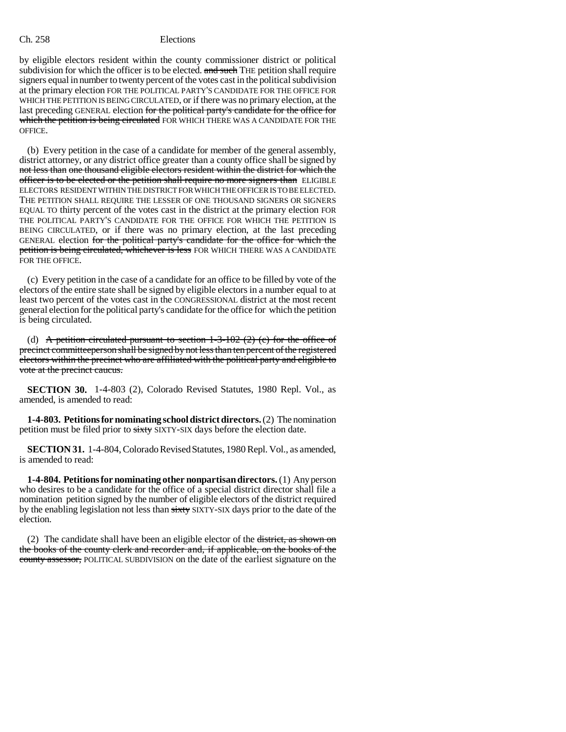by eligible electors resident within the county commissioner district or political subdivision for which the officer is to be elected. and such THE petition shall require signers equal in number to twenty percent of the votes cast in the political subdivision at the primary election FOR THE POLITICAL PARTY'S CANDIDATE FOR THE OFFICE FOR WHICH THE PETITION IS BEING CIRCULATED, or if there was no primary election, at the last preceding GENERAL election for the political party's candidate for the office for which the petition is being circulated FOR WHICH THERE WAS A CANDIDATE FOR THE OFFICE.

(b) Every petition in the case of a candidate for member of the general assembly, district attorney, or any district office greater than a county office shall be signed by not less than one thousand eligible electors resident within the district for which the officer is to be elected or the petition shall require no more signers than ELIGIBLE ELECTORS RESIDENT WITHIN THE DISTRICT FOR WHICH THE OFFICER IS TO BE ELECTED. THE PETITION SHALL REQUIRE THE LESSER OF ONE THOUSAND SIGNERS OR SIGNERS EQUAL TO thirty percent of the votes cast in the district at the primary election FOR THE POLITICAL PARTY'S CANDIDATE FOR THE OFFICE FOR WHICH THE PETITION IS BEING CIRCULATED, or if there was no primary election, at the last preceding GENERAL election for the political party's candidate for the office for which the petition is being circulated, whichever is less FOR WHICH THERE WAS A CANDIDATE FOR THE OFFICE.

(c) Every petition in the case of a candidate for an office to be filled by vote of the electors of the entire state shall be signed by eligible electors in a number equal to at least two percent of the votes cast in the CONGRESSIONAL district at the most recent general election for the political party's candidate for the office for which the petition is being circulated.

(d) A petition circulated pursuant to section  $1-3-102$  (2) (c) for the office of precinct committeeperson shall be signed by not less than ten percent of the registered electors within the precinct who are affiliated with the political party and eligible to vote at the precinct caucus.

**SECTION 30.** 1-4-803 (2), Colorado Revised Statutes, 1980 Repl. Vol., as amended, is amended to read:

**1-4-803. Petitions for nominating school district directors.** (2) The nomination petition must be filed prior to sixty SIXTY-SIX days before the election date.

**SECTION 31.** 1-4-804, Colorado Revised Statutes, 1980 Repl. Vol., as amended, is amended to read:

**1-4-804. Petitions for nominating other nonpartisan directors.** (1) Any person who desires to be a candidate for the office of a special district director shall file a nomination petition signed by the number of eligible electors of the district required by the enabling legislation not less than sixty SIXTY-SIX days prior to the date of the election.

(2) The candidate shall have been an eligible elector of the district, as shown on the books of the county clerk and recorder and, if applicable, on the books of the county assessor, POLITICAL SUBDIVISION on the date of the earliest signature on the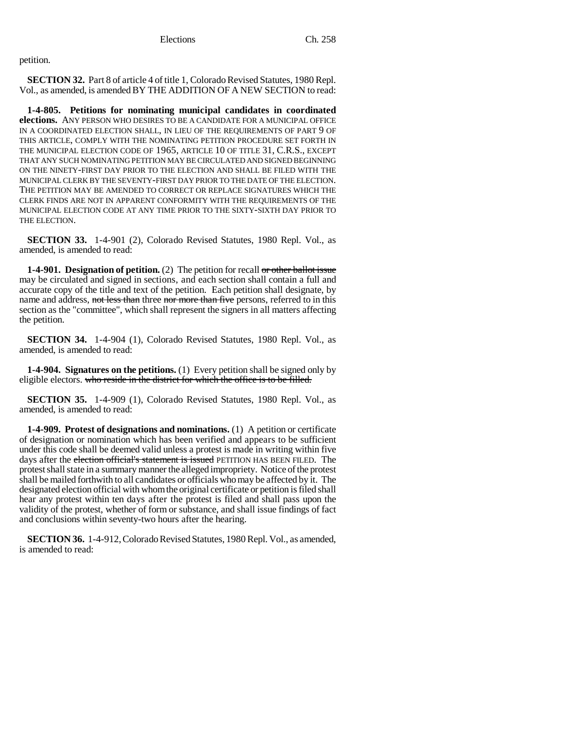petition.

**SECTION 32.** Part 8 of article 4 of title 1, Colorado Revised Statutes, 1980 Repl. Vol., as amended, is amended BY THE ADDITION OF A NEW SECTION to read:

**1-4-805. Petitions for nominating municipal candidates in coordinated elections.** ANY PERSON WHO DESIRES TO BE A CANDIDATE FOR A MUNICIPAL OFFICE IN A COORDINATED ELECTION SHALL, IN LIEU OF THE REQUIREMENTS OF PART 9 OF THIS ARTICLE, COMPLY WITH THE NOMINATING PETITION PROCEDURE SET FORTH IN THE MUNICIPAL ELECTION CODE OF 1965, ARTICLE 10 OF TITLE 31, C.R.S., EXCEPT THAT ANY SUCH NOMINATING PETITION MAY BE CIRCULATED AND SIGNED BEGINNING ON THE NINETY-FIRST DAY PRIOR TO THE ELECTION AND SHALL BE FILED WITH THE MUNICIPAL CLERK BY THE SEVENTY-FIRST DAY PRIOR TO THE DATE OF THE ELECTION. THE PETITION MAY BE AMENDED TO CORRECT OR REPLACE SIGNATURES WHICH THE CLERK FINDS ARE NOT IN APPARENT CONFORMITY WITH THE REQUIREMENTS OF THE MUNICIPAL ELECTION CODE AT ANY TIME PRIOR TO THE SIXTY-SIXTH DAY PRIOR TO THE ELECTION.

**SECTION 33.** 1-4-901 (2), Colorado Revised Statutes, 1980 Repl. Vol., as amended, is amended to read:

**1-4-901. Designation of petition.** (2) The petition for recall or other ballot issue may be circulated and signed in sections, and each section shall contain a full and accurate copy of the title and text of the petition. Each petition shall designate, by name and address, not less than three nor more than five persons, referred to in this section as the "committee", which shall represent the signers in all matters affecting the petition.

**SECTION 34.** 1-4-904 (1), Colorado Revised Statutes, 1980 Repl. Vol., as amended, is amended to read:

**1-4-904. Signatures on the petitions.** (1) Every petition shall be signed only by eligible electors. who reside in the district for which the office is to be filled.

**SECTION 35.** 1-4-909 (1), Colorado Revised Statutes, 1980 Repl. Vol., as amended, is amended to read:

**1-4-909. Protest of designations and nominations.** (1) A petition or certificate of designation or nomination which has been verified and appears to be sufficient under this code shall be deemed valid unless a protest is made in writing within five days after the election official's statement is issued PETITION HAS BEEN FILED. The protest shall state in a summary manner the alleged impropriety. Notice of the protest shall be mailed forthwith to all candidates or officials who may be affected by it. The designated election official with whom the original certificate or petition is filed shall hear any protest within ten days after the protest is filed and shall pass upon the validity of the protest, whether of form or substance, and shall issue findings of fact and conclusions within seventy-two hours after the hearing.

**SECTION 36.** 1-4-912, Colorado Revised Statutes, 1980 Repl. Vol., as amended, is amended to read: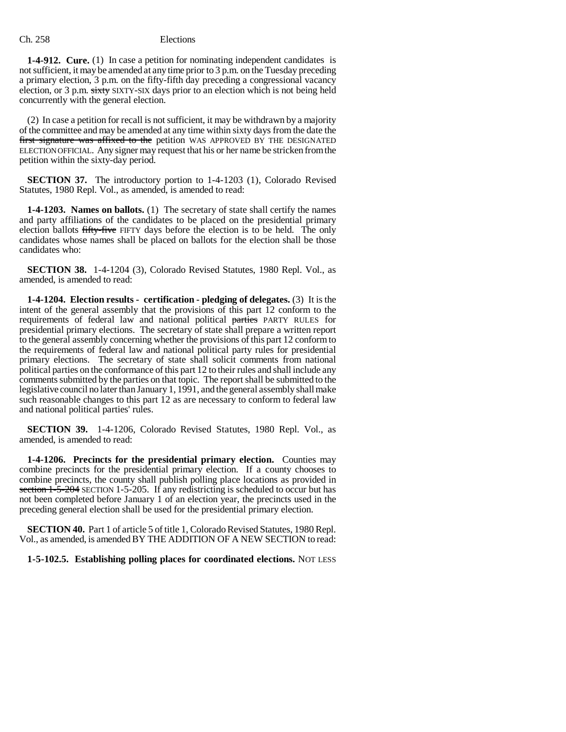**1-4-912. Cure.** (1) In case a petition for nominating independent candidates is not sufficient, it may be amended at any time prior to 3 p.m. on the Tuesday preceding a primary election, 3 p.m. on the fifty-fifth day preceding a congressional vacancy election, or 3 p.m. sixty SIXTY-SIX days prior to an election which is not being held concurrently with the general election.

(2) In case a petition for recall is not sufficient, it may be withdrawn by a majority of the committee and may be amended at any time within sixty days from the date the first signature was affixed to the petition WAS APPROVED BY THE DESIGNATED ELECTION OFFICIAL. Any signer may request that his or her name be stricken from the petition within the sixty-day period.

**SECTION 37.** The introductory portion to 1-4-1203 (1), Colorado Revised Statutes, 1980 Repl. Vol., as amended, is amended to read:

**1-4-1203. Names on ballots.** (1) The secretary of state shall certify the names and party affiliations of the candidates to be placed on the presidential primary election ballots fifty-five FIFTY days before the election is to be held. The only candidates whose names shall be placed on ballots for the election shall be those candidates who:

**SECTION 38.** 1-4-1204 (3), Colorado Revised Statutes, 1980 Repl. Vol., as amended, is amended to read:

**1-4-1204. Election results - certification - pledging of delegates.** (3) It is the intent of the general assembly that the provisions of this part 12 conform to the requirements of federal law and national political parties PARTY RULES for presidential primary elections. The secretary of state shall prepare a written report to the general assembly concerning whether the provisions of this part 12 conform to the requirements of federal law and national political party rules for presidential primary elections. The secretary of state shall solicit comments from national political parties on the conformance of this part 12 to their rules and shall include any comments submitted by the parties on that topic. The report shall be submitted to the legislative council no later than January 1, 1991, and the general assembly shall make such reasonable changes to this part 12 as are necessary to conform to federal law and national political parties' rules.

**SECTION 39.** 1-4-1206, Colorado Revised Statutes, 1980 Repl. Vol., as amended, is amended to read:

**1-4-1206. Precincts for the presidential primary election.** Counties may combine precincts for the presidential primary election. If a county chooses to combine precincts, the county shall publish polling place locations as provided in section 1-5-204 SECTION 1-5-205. If any redistricting is scheduled to occur but has not been completed before January 1 of an election year, the precincts used in the preceding general election shall be used for the presidential primary election.

**SECTION 40.** Part 1 of article 5 of title 1, Colorado Revised Statutes, 1980 Repl. Vol., as amended, is amended BY THE ADDITION OF A NEW SECTION to read:

**1-5-102.5. Establishing polling places for coordinated elections.** NOT LESS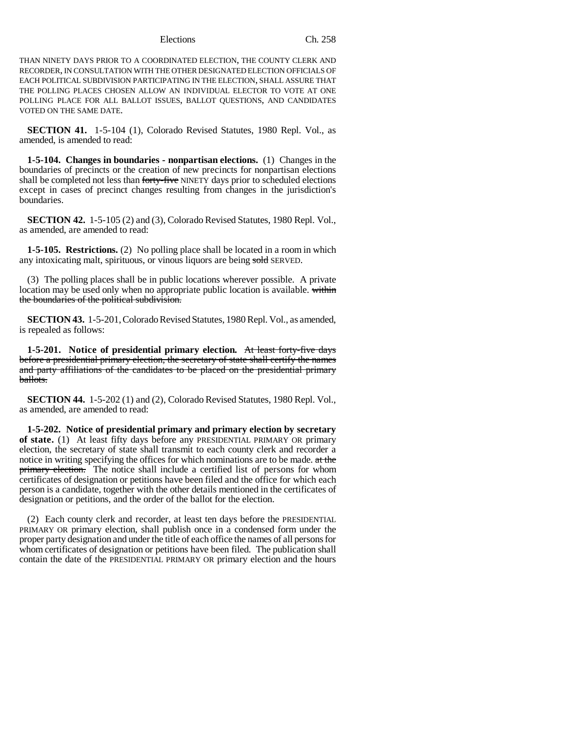THAN NINETY DAYS PRIOR TO A COORDINATED ELECTION, THE COUNTY CLERK AND RECORDER, IN CONSULTATION WITH THE OTHER DESIGNATED ELECTION OFFICIALS OF EACH POLITICAL SUBDIVISION PARTICIPATING IN THE ELECTION, SHALL ASSURE THAT THE POLLING PLACES CHOSEN ALLOW AN INDIVIDUAL ELECTOR TO VOTE AT ONE POLLING PLACE FOR ALL BALLOT ISSUES, BALLOT QUESTIONS, AND CANDIDATES VOTED ON THE SAME DATE.

**SECTION 41.** 1-5-104 (1), Colorado Revised Statutes, 1980 Repl. Vol., as amended, is amended to read:

**1-5-104. Changes in boundaries - nonpartisan elections.** (1) Changes in the boundaries of precincts or the creation of new precincts for nonpartisan elections shall be completed not less than forty-five NINETY days prior to scheduled elections except in cases of precinct changes resulting from changes in the jurisdiction's boundaries.

**SECTION 42.** 1-5-105 (2) and (3), Colorado Revised Statutes, 1980 Repl. Vol., as amended, are amended to read:

**1-5-105. Restrictions.** (2) No polling place shall be located in a room in which any intoxicating malt, spirituous, or vinous liquors are being sold SERVED.

(3) The polling places shall be in public locations wherever possible. A private location may be used only when no appropriate public location is available. within the boundaries of the political subdivision.

**SECTION 43.** 1-5-201, Colorado Revised Statutes, 1980 Repl. Vol., as amended, is repealed as follows:

**1-5-201. Notice of presidential primary election.** At least forty-five days before a presidential primary election, the secretary of state shall certify the names and party affiliations of the candidates to be placed on the presidential primary ballots.

**SECTION 44.** 1-5-202 (1) and (2), Colorado Revised Statutes, 1980 Repl. Vol., as amended, are amended to read:

**1-5-202. Notice of presidential primary and primary election by secretary of state.** (1) At least fifty days before any PRESIDENTIAL PRIMARY OR primary election, the secretary of state shall transmit to each county clerk and recorder a notice in writing specifying the offices for which nominations are to be made. at the **primary election.** The notice shall include a certified list of persons for whom certificates of designation or petitions have been filed and the office for which each person is a candidate, together with the other details mentioned in the certificates of designation or petitions, and the order of the ballot for the election.

(2) Each county clerk and recorder, at least ten days before the PRESIDENTIAL PRIMARY OR primary election, shall publish once in a condensed form under the proper party designation and under the title of each office the names of all persons for whom certificates of designation or petitions have been filed. The publication shall contain the date of the PRESIDENTIAL PRIMARY OR primary election and the hours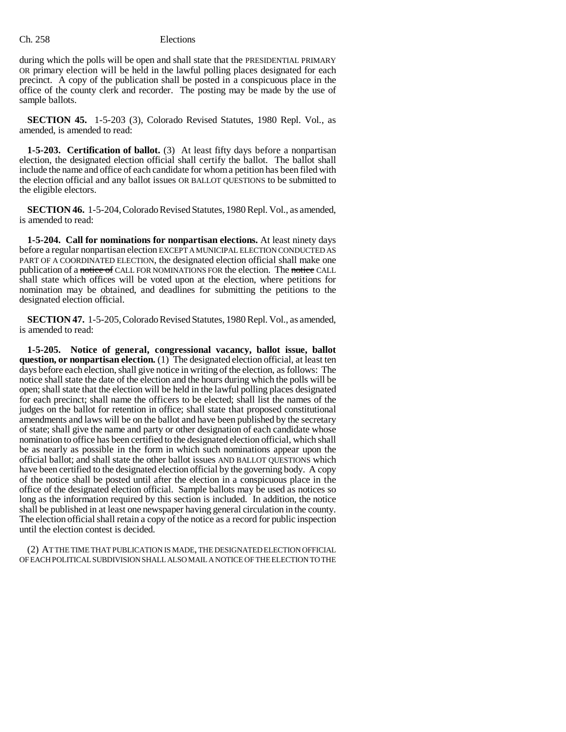during which the polls will be open and shall state that the PRESIDENTIAL PRIMARY OR primary election will be held in the lawful polling places designated for each precinct. A copy of the publication shall be posted in a conspicuous place in the office of the county clerk and recorder. The posting may be made by the use of sample ballots.

**SECTION 45.** 1-5-203 (3), Colorado Revised Statutes, 1980 Repl. Vol., as amended, is amended to read:

**1-5-203. Certification of ballot.** (3) At least fifty days before a nonpartisan election, the designated election official shall certify the ballot. The ballot shall include the name and office of each candidate for whom a petition has been filed with the election official and any ballot issues OR BALLOT QUESTIONS to be submitted to the eligible electors.

**SECTION 46.** 1-5-204, Colorado Revised Statutes, 1980 Repl. Vol., as amended, is amended to read:

**1-5-204. Call for nominations for nonpartisan elections.** At least ninety days before a regular nonpartisan election EXCEPT A MUNICIPAL ELECTION CONDUCTED AS PART OF A COORDINATED ELECTION, the designated election official shall make one publication of a notice of CALL FOR NOMINATIONS FOR the election. The notice CALL shall state which offices will be voted upon at the election, where petitions for nomination may be obtained, and deadlines for submitting the petitions to the designated election official.

**SECTION 47.** 1-5-205, Colorado Revised Statutes, 1980 Repl. Vol., as amended, is amended to read:

**1-5-205. Notice of general, congressional vacancy, ballot issue, ballot question, or nonpartisan election.** (1) The designated election official, at least ten days before each election, shall give notice in writing of the election, as follows: The notice shall state the date of the election and the hours during which the polls will be open; shall state that the election will be held in the lawful polling places designated for each precinct; shall name the officers to be elected; shall list the names of the judges on the ballot for retention in office; shall state that proposed constitutional amendments and laws will be on the ballot and have been published by the secretary of state; shall give the name and party or other designation of each candidate whose nomination to office has been certified to the designated election official, which shall be as nearly as possible in the form in which such nominations appear upon the official ballot; and shall state the other ballot issues AND BALLOT QUESTIONS which have been certified to the designated election official by the governing body. A copy of the notice shall be posted until after the election in a conspicuous place in the office of the designated election official. Sample ballots may be used as notices so long as the information required by this section is included. In addition, the notice shall be published in at least one newspaper having general circulation in the county. The election official shall retain a copy of the notice as a record for public inspection until the election contest is decided.

(2) AT THE TIME THAT PUBLICATION IS MADE, THE DESIGNATED ELECTION OFFICIAL OF EACH POLITICAL SUBDIVISION SHALL ALSO MAIL A NOTICE OF THE ELECTION TO THE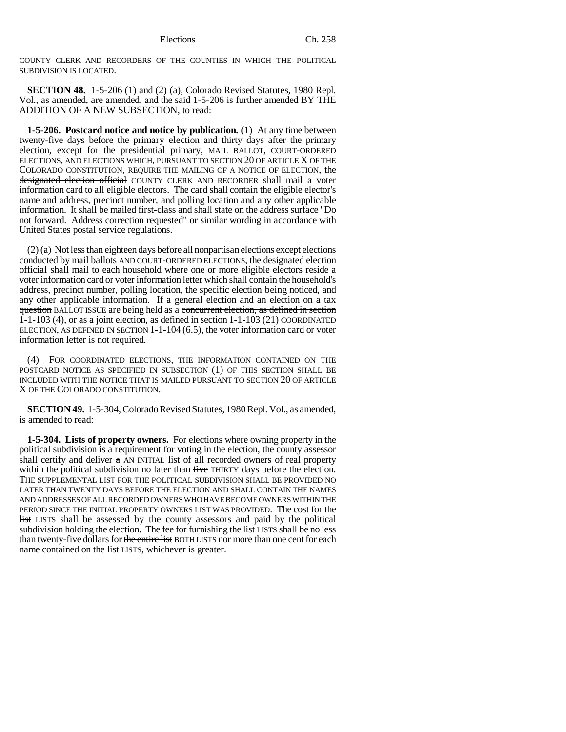COUNTY CLERK AND RECORDERS OF THE COUNTIES IN WHICH THE POLITICAL SUBDIVISION IS LOCATED.

**SECTION 48.** 1-5-206 (1) and (2) (a), Colorado Revised Statutes, 1980 Repl. Vol., as amended, are amended, and the said 1-5-206 is further amended BY THE ADDITION OF A NEW SUBSECTION, to read:

**1-5-206. Postcard notice and notice by publication.** (1) At any time between twenty-five days before the primary election and thirty days after the primary election, except for the presidential primary, MAIL BALLOT, COURT-ORDERED ELECTIONS, AND ELECTIONS WHICH, PURSUANT TO SECTION 20 OF ARTICLE X OF THE COLORADO CONSTITUTION, REQUIRE THE MAILING OF A NOTICE OF ELECTION, the designated election official COUNTY CLERK AND RECORDER shall mail a voter information card to all eligible electors. The card shall contain the eligible elector's name and address, precinct number, and polling location and any other applicable information. It shall be mailed first-class and shall state on the address surface "Do not forward. Address correction requested" or similar wording in accordance with United States postal service regulations.

(2) (a) Not less than eighteen days before all nonpartisan elections except elections conducted by mail ballots AND COURT-ORDERED ELECTIONS, the designated election official shall mail to each household where one or more eligible electors reside a voter information card or voter information letter which shall contain the household's address, precinct number, polling location, the specific election being noticed, and any other applicable information. If a general election and an election on a  $\text{tax}$ question BALLOT ISSUE are being held as a concurrent election, as defined in section  $1-1-103$  (4), or as a joint election, as defined in section  $1-1-103$  (21) COORDINATED ELECTION, AS DEFINED IN SECTION 1-1-104 (6.5), the voter information card or voter information letter is not required.

(4) FOR COORDINATED ELECTIONS, THE INFORMATION CONTAINED ON THE POSTCARD NOTICE AS SPECIFIED IN SUBSECTION (1) OF THIS SECTION SHALL BE INCLUDED WITH THE NOTICE THAT IS MAILED PURSUANT TO SECTION 20 OF ARTICLE X OF THE COLORADO CONSTITUTION.

**SECTION 49.** 1-5-304, Colorado Revised Statutes, 1980 Repl. Vol., as amended, is amended to read:

**1-5-304. Lists of property owners.** For elections where owning property in the political subdivision is a requirement for voting in the election, the county assessor shall certify and deliver  $\alpha$  AN INITIAL list of all recorded owners of real property within the political subdivision no later than five THIRTY days before the election. THE SUPPLEMENTAL LIST FOR THE POLITICAL SUBDIVISION SHALL BE PROVIDED NO LATER THAN TWENTY DAYS BEFORE THE ELECTION AND SHALL CONTAIN THE NAMES AND ADDRESSES OF ALL RECORDED OWNERS WHO HAVE BECOME OWNERS WITHIN THE PERIOD SINCE THE INITIAL PROPERTY OWNERS LIST WAS PROVIDED. The cost for the list LISTS shall be assessed by the county assessors and paid by the political subdivision holding the election. The fee for furnishing the list LISTS shall be no less than twenty-five dollars for the entire list BOTH LISTS nor more than one cent for each name contained on the list LISTS, whichever is greater.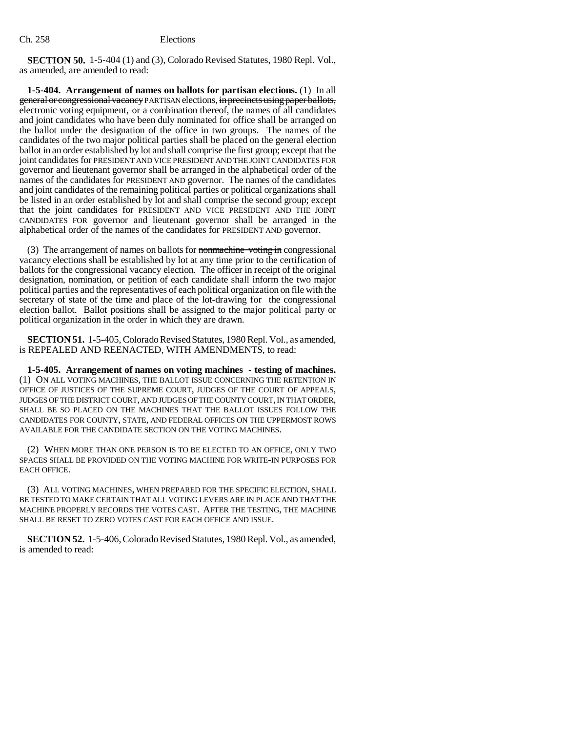**SECTION 50.** 1-5-404 (1) and (3), Colorado Revised Statutes, 1980 Repl. Vol., as amended, are amended to read:

**1-5-404. Arrangement of names on ballots for partisan elections.** (1) In all general or congressional vacancy PARTISAN elections, in precincts using paper ballots, electronic voting equipment, or a combination thereof, the names of all candidates and joint candidates who have been duly nominated for office shall be arranged on the ballot under the designation of the office in two groups. The names of the candidates of the two major political parties shall be placed on the general election ballot in an order established by lot and shall comprise the first group; except that the joint candidates for PRESIDENT AND VICE PRESIDENT AND THE JOINT CANDIDATES FOR governor and lieutenant governor shall be arranged in the alphabetical order of the names of the candidates for PRESIDENT AND governor. The names of the candidates and joint candidates of the remaining political parties or political organizations shall be listed in an order established by lot and shall comprise the second group; except that the joint candidates for PRESIDENT AND VICE PRESIDENT AND THE JOINT CANDIDATES FOR governor and lieutenant governor shall be arranged in the alphabetical order of the names of the candidates for PRESIDENT AND governor.

(3) The arrangement of names on ballots for nonmachine voting in congressional vacancy elections shall be established by lot at any time prior to the certification of ballots for the congressional vacancy election. The officer in receipt of the original designation, nomination, or petition of each candidate shall inform the two major political parties and the representatives of each political organization on file with the secretary of state of the time and place of the lot-drawing for the congressional election ballot. Ballot positions shall be assigned to the major political party or political organization in the order in which they are drawn.

**SECTION 51.** 1-5-405, Colorado Revised Statutes, 1980 Repl. Vol., as amended, is REPEALED AND REENACTED, WITH AMENDMENTS, to read:

**1-5-405. Arrangement of names on voting machines - testing of machines.** (1) ON ALL VOTING MACHINES, THE BALLOT ISSUE CONCERNING THE RETENTION IN OFFICE OF JUSTICES OF THE SUPREME COURT, JUDGES OF THE COURT OF APPEALS, JUDGES OF THE DISTRICT COURT, AND JUDGES OF THE COUNTY COURT, IN THAT ORDER, SHALL BE SO PLACED ON THE MACHINES THAT THE BALLOT ISSUES FOLLOW THE CANDIDATES FOR COUNTY, STATE, AND FEDERAL OFFICES ON THE UPPERMOST ROWS AVAILABLE FOR THE CANDIDATE SECTION ON THE VOTING MACHINES.

(2) WHEN MORE THAN ONE PERSON IS TO BE ELECTED TO AN OFFICE, ONLY TWO SPACES SHALL BE PROVIDED ON THE VOTING MACHINE FOR WRITE-IN PURPOSES FOR EACH OFFICE.

(3) ALL VOTING MACHINES, WHEN PREPARED FOR THE SPECIFIC ELECTION, SHALL BE TESTED TO MAKE CERTAIN THAT ALL VOTING LEVERS ARE IN PLACE AND THAT THE MACHINE PROPERLY RECORDS THE VOTES CAST. AFTER THE TESTING, THE MACHINE SHALL BE RESET TO ZERO VOTES CAST FOR EACH OFFICE AND ISSUE.

**SECTION 52.** 1-5-406, Colorado Revised Statutes, 1980 Repl. Vol., as amended, is amended to read: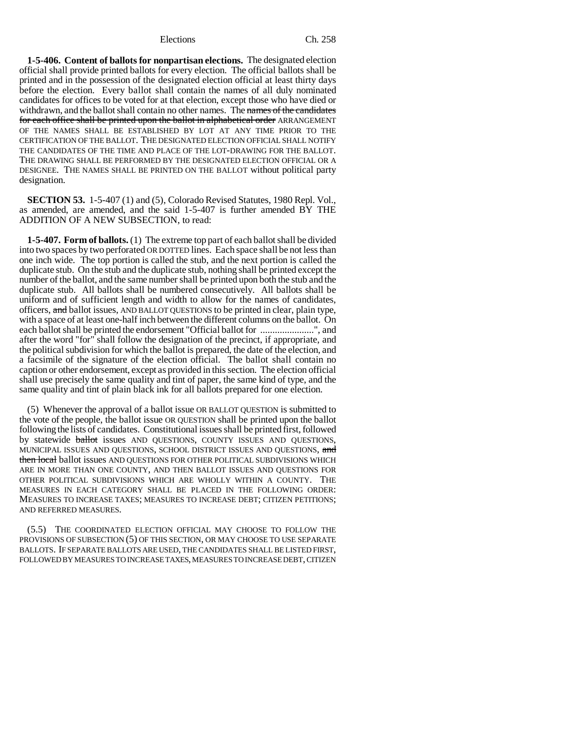**1-5-406. Content of ballots for nonpartisan elections.** The designated election official shall provide printed ballots for every election. The official ballots shall be printed and in the possession of the designated election official at least thirty days before the election. Every ballot shall contain the names of all duly nominated candidates for offices to be voted for at that election, except those who have died or withdrawn, and the ballot shall contain no other names. The names of the candidates for each office shall be printed upon the ballot in alphabetical order ARRANGEMENT OF THE NAMES SHALL BE ESTABLISHED BY LOT AT ANY TIME PRIOR TO THE CERTIFICATION OF THE BALLOT. THE DESIGNATED ELECTION OFFICIAL SHALL NOTIFY THE CANDIDATES OF THE TIME AND PLACE OF THE LOT-DRAWING FOR THE BALLOT. THE DRAWING SHALL BE PERFORMED BY THE DESIGNATED ELECTION OFFICIAL OR A DESIGNEE. THE NAMES SHALL BE PRINTED ON THE BALLOT without political party designation.

**SECTION 53.** 1-5-407 (1) and (5), Colorado Revised Statutes, 1980 Repl. Vol., as amended, are amended, and the said 1-5-407 is further amended BY THE ADDITION OF A NEW SUBSECTION, to read:

**1-5-407. Form of ballots.** (1) The extreme top part of each ballot shall be divided into two spaces by two perforated OR DOTTED lines. Each space shall be not less than one inch wide. The top portion is called the stub, and the next portion is called the duplicate stub. On the stub and the duplicate stub, nothing shall be printed except the number of the ballot, and the same number shall be printed upon both the stub and the duplicate stub. All ballots shall be numbered consecutively. All ballots shall be uniform and of sufficient length and width to allow for the names of candidates, officers, and ballot issues, AND BALLOT QUESTIONS to be printed in clear, plain type, with a space of at least one-half inch between the different columns on the ballot. On each ballot shall be printed the endorsement "Official ballot for ......................", and after the word "for" shall follow the designation of the precinct, if appropriate, and the political subdivision for which the ballot is prepared, the date of the election, and a facsimile of the signature of the election official. The ballot shall contain no caption or other endorsement, except as provided in this section. The election official shall use precisely the same quality and tint of paper, the same kind of type, and the same quality and tint of plain black ink for all ballots prepared for one election.

(5) Whenever the approval of a ballot issue OR BALLOT QUESTION is submitted to the vote of the people, the ballot issue OR QUESTION shall be printed upon the ballot following the lists of candidates. Constitutional issues shall be printed first, followed by statewide **ballot** issues AND QUESTIONS, COUNTY ISSUES AND QUESTIONS, MUNICIPAL ISSUES AND QUESTIONS, SCHOOL DISTRICT ISSUES AND QUESTIONS, and then local ballot issues AND QUESTIONS FOR OTHER POLITICAL SUBDIVISIONS WHICH ARE IN MORE THAN ONE COUNTY, AND THEN BALLOT ISSUES AND QUESTIONS FOR OTHER POLITICAL SUBDIVISIONS WHICH ARE WHOLLY WITHIN A COUNTY. THE MEASURES IN EACH CATEGORY SHALL BE PLACED IN THE FOLLOWING ORDER: MEASURES TO INCREASE TAXES; MEASURES TO INCREASE DEBT; CITIZEN PETITIONS; AND REFERRED MEASURES.

(5.5) THE COORDINATED ELECTION OFFICIAL MAY CHOOSE TO FOLLOW THE PROVISIONS OF SUBSECTION (5) OF THIS SECTION, OR MAY CHOOSE TO USE SEPARATE BALLOTS. IF SEPARATE BALLOTS ARE USED, THE CANDIDATES SHALL BE LISTED FIRST, FOLLOWED BY MEASURES TO INCREASE TAXES, MEASURES TO INCREASE DEBT, CITIZEN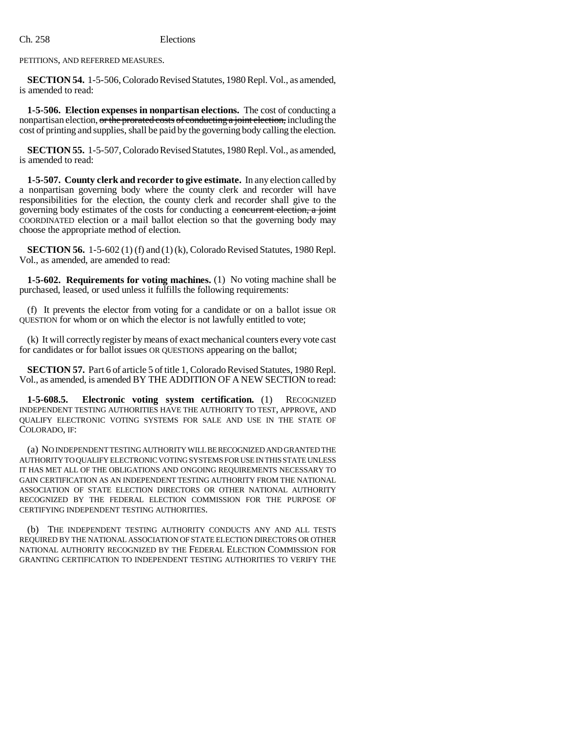PETITIONS, AND REFERRED MEASURES.

**SECTION 54.** 1-5-506, Colorado Revised Statutes, 1980 Repl. Vol., as amended, is amended to read:

**1-5-506. Election expenses in nonpartisan elections.** The cost of conducting a nonpartisan election, or the prorated costs of conducting a joint election, including the cost of printing and supplies, shall be paid by the governing body calling the election.

**SECTION 55.** 1-5-507, Colorado Revised Statutes, 1980 Repl. Vol., as amended, is amended to read:

**1-5-507. County clerk and recorder to give estimate.** In any election called by a nonpartisan governing body where the county clerk and recorder will have responsibilities for the election, the county clerk and recorder shall give to the governing body estimates of the costs for conducting a concurrent election, a joint COORDINATED election or a mail ballot election so that the governing body may choose the appropriate method of election.

**SECTION 56.** 1-5-602 (1) (f) and (1) (k), Colorado Revised Statutes, 1980 Repl. Vol., as amended, are amended to read:

**1-5-602. Requirements for voting machines.** (1) No voting machine shall be purchased, leased, or used unless it fulfills the following requirements:

(f) It prevents the elector from voting for a candidate or on a ballot issue OR QUESTION for whom or on which the elector is not lawfully entitled to vote;

(k) It will correctly register by means of exact mechanical counters every vote cast for candidates or for ballot issues OR QUESTIONS appearing on the ballot;

**SECTION 57.** Part 6 of article 5 of title 1, Colorado Revised Statutes, 1980 Repl. Vol., as amended, is amended BY THE ADDITION OF A NEW SECTION to read:

**1-5-608.5. Electronic voting system certification.** (1) RECOGNIZED INDEPENDENT TESTING AUTHORITIES HAVE THE AUTHORITY TO TEST, APPROVE, AND QUALIFY ELECTRONIC VOTING SYSTEMS FOR SALE AND USE IN THE STATE OF COLORADO, IF:

(a) NO INDEPENDENT TESTING AUTHORITY WILL BE RECOGNIZED AND GRANTED THE AUTHORITY TO QUALIFY ELECTRONIC VOTING SYSTEMS FOR USE IN THIS STATE UNLESS IT HAS MET ALL OF THE OBLIGATIONS AND ONGOING REQUIREMENTS NECESSARY TO GAIN CERTIFICATION AS AN INDEPENDENT TESTING AUTHORITY FROM THE NATIONAL ASSOCIATION OF STATE ELECTION DIRECTORS OR OTHER NATIONAL AUTHORITY RECOGNIZED BY THE FEDERAL ELECTION COMMISSION FOR THE PURPOSE OF CERTIFYING INDEPENDENT TESTING AUTHORITIES.

(b) THE INDEPENDENT TESTING AUTHORITY CONDUCTS ANY AND ALL TESTS REQUIRED BY THE NATIONAL ASSOCIATION OF STATE ELECTION DIRECTORS OR OTHER NATIONAL AUTHORITY RECOGNIZED BY THE FEDERAL ELECTION COMMISSION FOR GRANTING CERTIFICATION TO INDEPENDENT TESTING AUTHORITIES TO VERIFY THE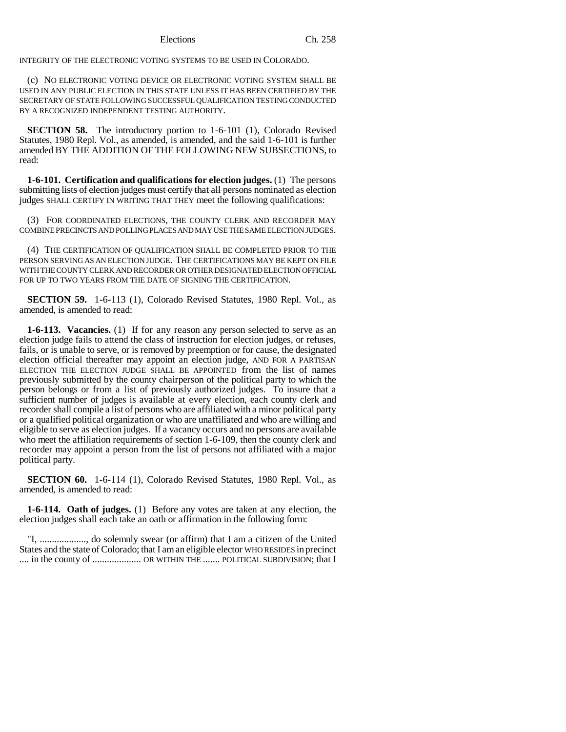INTEGRITY OF THE ELECTRONIC VOTING SYSTEMS TO BE USED IN COLORADO.

(c) NO ELECTRONIC VOTING DEVICE OR ELECTRONIC VOTING SYSTEM SHALL BE USED IN ANY PUBLIC ELECTION IN THIS STATE UNLESS IT HAS BEEN CERTIFIED BY THE SECRETARY OF STATE FOLLOWING SUCCESSFUL QUALIFICATION TESTING CONDUCTED BY A RECOGNIZED INDEPENDENT TESTING AUTHORITY.

**SECTION 58.** The introductory portion to 1-6-101 (1), Colorado Revised Statutes, 1980 Repl. Vol., as amended, is amended, and the said 1-6-101 is further amended BY THE ADDITION OF THE FOLLOWING NEW SUBSECTIONS, to read:

**1-6-101. Certification and qualifications for election judges.** (1) The persons submitting lists of election judges must certify that all persons nominated as election judges SHALL CERTIFY IN WRITING THAT THEY meet the following qualifications:

(3) FOR COORDINATED ELECTIONS, THE COUNTY CLERK AND RECORDER MAY COMBINE PRECINCTS AND POLLING PLACES AND MAY USE THE SAME ELECTION JUDGES.

(4) THE CERTIFICATION OF QUALIFICATION SHALL BE COMPLETED PRIOR TO THE PERSON SERVING AS AN ELECTION JUDGE. THE CERTIFICATIONS MAY BE KEPT ON FILE WITH THE COUNTY CLERK AND RECORDER OR OTHER DESIGNATED ELECTION OFFICIAL FOR UP TO TWO YEARS FROM THE DATE OF SIGNING THE CERTIFICATION.

**SECTION 59.** 1-6-113 (1), Colorado Revised Statutes, 1980 Repl. Vol., as amended, is amended to read:

**1-6-113. Vacancies.** (1) If for any reason any person selected to serve as an election judge fails to attend the class of instruction for election judges, or refuses, fails, or is unable to serve, or is removed by preemption or for cause, the designated election official thereafter may appoint an election judge, AND FOR A PARTISAN ELECTION THE ELECTION JUDGE SHALL BE APPOINTED from the list of names previously submitted by the county chairperson of the political party to which the person belongs or from a list of previously authorized judges. To insure that a sufficient number of judges is available at every election, each county clerk and recorder shall compile a list of persons who are affiliated with a minor political party or a qualified political organization or who are unaffiliated and who are willing and eligible to serve as election judges. If a vacancy occurs and no persons are available who meet the affiliation requirements of section 1-6-109, then the county clerk and recorder may appoint a person from the list of persons not affiliated with a major political party.

**SECTION 60.** 1-6-114 (1), Colorado Revised Statutes, 1980 Repl. Vol., as amended, is amended to read:

**1-6-114. Oath of judges.** (1) Before any votes are taken at any election, the election judges shall each take an oath or affirmation in the following form:

"I, ..................., do solemnly swear (or affirm) that I am a citizen of the United States and the state of Colorado; that I am an eligible elector WHO RESIDES in precinct .... in the county of .................... OR WITHIN THE ....... POLITICAL SUBDIVISION; that I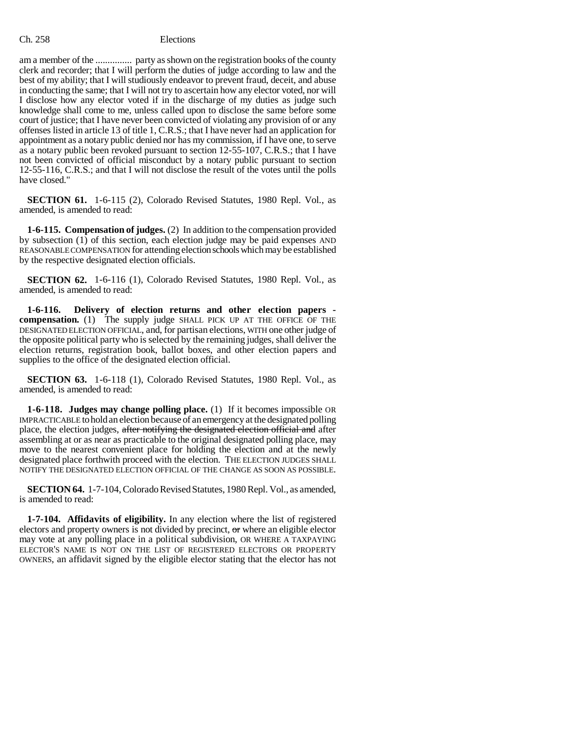am a member of the ............... party as shown on the registration books of the county clerk and recorder; that I will perform the duties of judge according to law and the best of my ability; that I will studiously endeavor to prevent fraud, deceit, and abuse in conducting the same; that I will not try to ascertain how any elector voted, nor will I disclose how any elector voted if in the discharge of my duties as judge such knowledge shall come to me, unless called upon to disclose the same before some court of justice; that I have never been convicted of violating any provision of or any offenses listed in article 13 of title 1, C.R.S.; that I have never had an application for appointment as a notary public denied nor has my commission, if I have one, to serve as a notary public been revoked pursuant to section 12-55-107, C.R.S.; that I have not been convicted of official misconduct by a notary public pursuant to section 12-55-116, C.R.S.; and that I will not disclose the result of the votes until the polls have closed."

**SECTION 61.** 1-6-115 (2), Colorado Revised Statutes, 1980 Repl. Vol., as amended, is amended to read:

**1-6-115. Compensation of judges.** (2) In addition to the compensation provided by subsection  $(1)$  of this section, each election judge may be paid expenses AND REASONABLE COMPENSATION for attending election schools which may be established by the respective designated election officials.

**SECTION 62.** 1-6-116 (1), Colorado Revised Statutes, 1980 Repl. Vol., as amended, is amended to read:

**1-6-116. Delivery of election returns and other election papers compensation.** (1) The supply judge SHALL PICK UP AT THE OFFICE OF THE DESIGNATED ELECTION OFFICIAL, and, for partisan elections, WITH one other judge of the opposite political party who is selected by the remaining judges, shall deliver the election returns, registration book, ballot boxes, and other election papers and supplies to the office of the designated election official.

**SECTION 63.** 1-6-118 (1), Colorado Revised Statutes, 1980 Repl. Vol., as amended, is amended to read:

**1-6-118. Judges may change polling place.** (1) If it becomes impossible OR IMPRACTICABLE to hold an election because of an emergency at the designated polling place, the election judges, after notifying the designated election official and after assembling at or as near as practicable to the original designated polling place, may move to the nearest convenient place for holding the election and at the newly designated place forthwith proceed with the election. THE ELECTION JUDGES SHALL NOTIFY THE DESIGNATED ELECTION OFFICIAL OF THE CHANGE AS SOON AS POSSIBLE.

**SECTION 64.** 1-7-104, Colorado Revised Statutes, 1980 Repl. Vol., as amended, is amended to read:

**1-7-104. Affidavits of eligibility.** In any election where the list of registered electors and property owners is not divided by precinct, or where an eligible elector may vote at any polling place in a political subdivision, OR WHERE A TAXPAYING ELECTOR'S NAME IS NOT ON THE LIST OF REGISTERED ELECTORS OR PROPERTY OWNERS, an affidavit signed by the eligible elector stating that the elector has not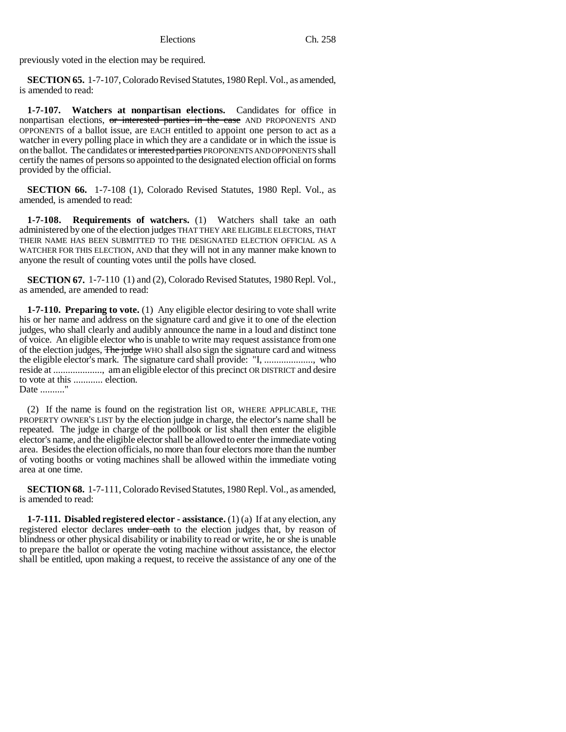previously voted in the election may be required.

**SECTION 65.** 1-7-107, Colorado Revised Statutes, 1980 Repl. Vol., as amended, is amended to read:

**1-7-107. Watchers at nonpartisan elections.** Candidates for office in nonpartisan elections, or interested parties in the case AND PROPONENTS AND OPPONENTS of a ballot issue, are EACH entitled to appoint one person to act as a watcher in every polling place in which they are a candidate or in which the issue is on the ballot. The candidates or interested parties PROPONENTS AND OPPONENTS shall certify the names of persons so appointed to the designated election official on forms provided by the official.

**SECTION 66.** 1-7-108 (1), Colorado Revised Statutes, 1980 Repl. Vol., as amended, is amended to read:

**1-7-108. Requirements of watchers.** (1) Watchers shall take an oath administered by one of the election judges THAT THEY ARE ELIGIBLE ELECTORS, THAT THEIR NAME HAS BEEN SUBMITTED TO THE DESIGNATED ELECTION OFFICIAL AS A WATCHER FOR THIS ELECTION, AND that they will not in any manner make known to anyone the result of counting votes until the polls have closed.

**SECTION 67.** 1-7-110 (1) and (2), Colorado Revised Statutes, 1980 Repl. Vol., as amended, are amended to read:

**1-7-110. Preparing to vote.** (1) Any eligible elector desiring to vote shall write his or her name and address on the signature card and give it to one of the election judges, who shall clearly and audibly announce the name in a loud and distinct tone of voice. An eligible elector who is unable to write may request assistance from one of the election judges, The judge WHO shall also sign the signature card and witness the eligible elector's mark. The signature card shall provide: "I, ...................., who reside at ...................., am an eligible elector of this precinct OR DISTRICT and desire to vote at this ............ election. Date .........."

(2) If the name is found on the registration list OR, WHERE APPLICABLE, THE PROPERTY OWNER'S LIST by the election judge in charge, the elector's name shall be repeated. The judge in charge of the pollbook or list shall then enter the eligible elector's name, and the eligible elector shall be allowed to enter the immediate voting area. Besides the election officials, no more than four electors more than the number of voting booths or voting machines shall be allowed within the immediate voting area at one time.

**SECTION 68.** 1-7-111, Colorado Revised Statutes, 1980 Repl. Vol., as amended, is amended to read:

**1-7-111. Disabled registered elector - assistance.** (1) (a) If at any election, any registered elector declares under oath to the election judges that, by reason of blindness or other physical disability or inability to read or write, he or she is unable to prepare the ballot or operate the voting machine without assistance, the elector shall be entitled, upon making a request, to receive the assistance of any one of the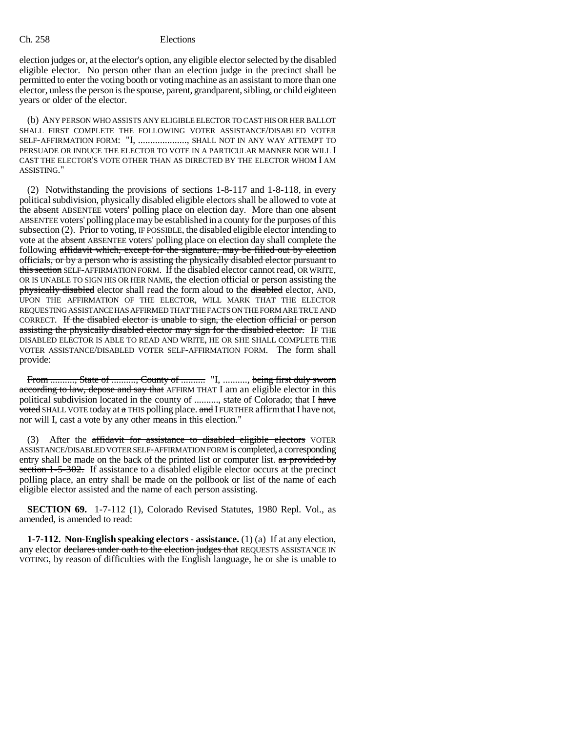election judges or, at the elector's option, any eligible elector selected by the disabled eligible elector. No person other than an election judge in the precinct shall be permitted to enter the voting booth or voting machine as an assistant to more than one elector, unless the person is the spouse, parent, grandparent, sibling, or child eighteen years or older of the elector.

(b) ANY PERSON WHO ASSISTS ANY ELIGIBLE ELECTOR TO CAST HIS OR HER BALLOT SHALL FIRST COMPLETE THE FOLLOWING VOTER ASSISTANCE/DISABLED VOTER SELF-AFFIRMATION FORM: "I, ...................., SHALL NOT IN ANY WAY ATTEMPT TO PERSUADE OR INDUCE THE ELECTOR TO VOTE IN A PARTICULAR MANNER NOR WILL I CAST THE ELECTOR'S VOTE OTHER THAN AS DIRECTED BY THE ELECTOR WHOM I AM ASSISTING."

(2) Notwithstanding the provisions of sections 1-8-117 and 1-8-118, in every political subdivision, physically disabled eligible electors shall be allowed to vote at the absent ABSENTEE voters' polling place on election day. More than one absent ABSENTEE voters' polling place may be established in a county for the purposes of this subsection (2). Prior to voting, IF POSSIBLE, the disabled eligible elector intending to vote at the absent ABSENTEE voters' polling place on election day shall complete the following affidavit which, except for the signature, may be filled out by election officials, or by a person who is assisting the physically disabled elector pursuant to this section SELF-AFFIRMATION FORM. If the disabled elector cannot read, OR WRITE, OR IS UNABLE TO SIGN HIS OR HER NAME, the election official or person assisting the physically disabled elector shall read the form aloud to the disabled elector, AND, UPON THE AFFIRMATION OF THE ELECTOR, WILL MARK THAT THE ELECTOR REQUESTING ASSISTANCE HAS AFFIRMED THAT THE FACTS ON THE FORM ARE TRUE AND CORRECT. If the disabled elector is unable to sign, the election official or person assisting the physically disabled elector may sign for the disabled elector. IF THE DISABLED ELECTOR IS ABLE TO READ AND WRITE, HE OR SHE SHALL COMPLETE THE VOTER ASSISTANCE/DISABLED VOTER SELF-AFFIRMATION FORM. The form shall provide:

From .........., State of .........., County of ........... "I, .........., being first duly sworn according to law, depose and say that AFFIRM THAT I am an eligible elector in this political subdivision located in the county of .........., state of Colorado; that I have voted SHALL VOTE today at  $\alpha$  THIS polling place.  $\alpha$ nd I FURTHER affirm that I have not, nor will I, cast a vote by any other means in this election."

(3) After the affidavit for assistance to disabled eligible electors VOTER ASSISTANCE/DISABLED VOTER SELF-AFFIRMATION FORM is completed, a corresponding entry shall be made on the back of the printed list or computer list. as provided by section 1-5-302. If assistance to a disabled eligible elector occurs at the precinct polling place, an entry shall be made on the pollbook or list of the name of each eligible elector assisted and the name of each person assisting.

**SECTION 69.** 1-7-112 (1), Colorado Revised Statutes, 1980 Repl. Vol., as amended, is amended to read:

**1-7-112. Non-English speaking electors - assistance.** (1) (a) If at any election, any elector declares under oath to the election judges that REQUESTS ASSISTANCE IN VOTING, by reason of difficulties with the English language, he or she is unable to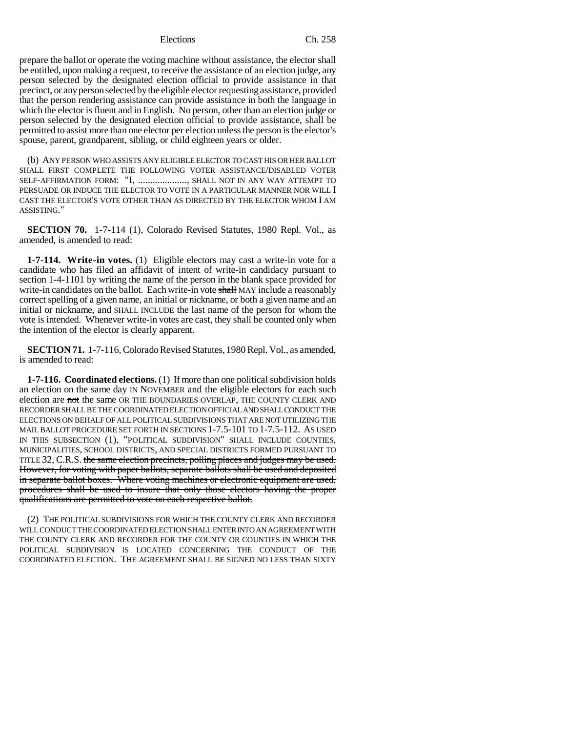prepare the ballot or operate the voting machine without assistance, the elector shall be entitled, upon making a request, to receive the assistance of an election judge, any person selected by the designated election official to provide assistance in that precinct, or any person selected by the eligible elector requesting assistance, provided that the person rendering assistance can provide assistance in both the language in which the elector is fluent and in English. No person, other than an election judge or person selected by the designated election official to provide assistance, shall be permitted to assist more than one elector per election unless the person is the elector's spouse, parent, grandparent, sibling, or child eighteen years or older.

(b) ANY PERSON WHO ASSISTS ANY ELIGIBLE ELECTOR TO CAST HIS OR HER BALLOT SHALL FIRST COMPLETE THE FOLLOWING VOTER ASSISTANCE/DISABLED VOTER SELF-AFFIRMATION FORM: "I, ...................., SHALL NOT IN ANY WAY ATTEMPT TO PERSUADE OR INDUCE THE ELECTOR TO VOTE IN A PARTICULAR MANNER NOR WILL I CAST THE ELECTOR'S VOTE OTHER THAN AS DIRECTED BY THE ELECTOR WHOM I AM ASSISTING."

**SECTION 70.** 1-7-114 (1), Colorado Revised Statutes, 1980 Repl. Vol., as amended, is amended to read:

**1-7-114. Write-in votes.** (1) Eligible electors may cast a write-in vote for a candidate who has filed an affidavit of intent of write-in candidacy pursuant to section 1-4-1101 by writing the name of the person in the blank space provided for write-in candidates on the ballot. Each write-in vote shall MAY include a reasonably correct spelling of a given name, an initial or nickname, or both a given name and an initial or nickname, and SHALL INCLUDE the last name of the person for whom the vote is intended. Whenever write-in votes are cast, they shall be counted only when the intention of the elector is clearly apparent.

**SECTION 71.** 1-7-116, Colorado Revised Statutes, 1980 Repl. Vol., as amended, is amended to read:

**1-7-116. Coordinated elections.** (1) If more than one political subdivision holds an election on the same day IN NOVEMBER and the eligible electors for each such election are not the same OR THE BOUNDARIES OVERLAP, THE COUNTY CLERK AND RECORDER SHALL BE THE COORDINATED ELECTION OFFICIAL AND SHALL CONDUCT THE ELECTIONS ON BEHALF OF ALL POLITICAL SUBDIVISIONS THAT ARE NOT UTILIZING THE MAIL BALLOT PROCEDURE SET FORTH IN SECTIONS 1-7.5-101 TO 1-7.5-112. AS USED IN THIS SUBSECTION (1), "POLITICAL SUBDIVISION" SHALL INCLUDE COUNTIES, MUNICIPALITIES, SCHOOL DISTRICTS, AND SPECIAL DISTRICTS FORMED PURSUANT TO TITLE 32, C.R.S. the same election precincts, polling places and judges may be used. However, for voting with paper ballots, separate ballots shall be used and deposited in separate ballot boxes. Where voting machines or electronic equipment are used, procedures shall be used to insure that only those electors having the proper qualifications are permitted to vote on each respective ballot.

(2) THE POLITICAL SUBDIVISIONS FOR WHICH THE COUNTY CLERK AND RECORDER WILL CONDUCT THE COORDINATED ELECTION SHALL ENTER INTO AN AGREEMENT WITH THE COUNTY CLERK AND RECORDER FOR THE COUNTY OR COUNTIES IN WHICH THE POLITICAL SUBDIVISION IS LOCATED CONCERNING THE CONDUCT OF THE COORDINATED ELECTION. THE AGREEMENT SHALL BE SIGNED NO LESS THAN SIXTY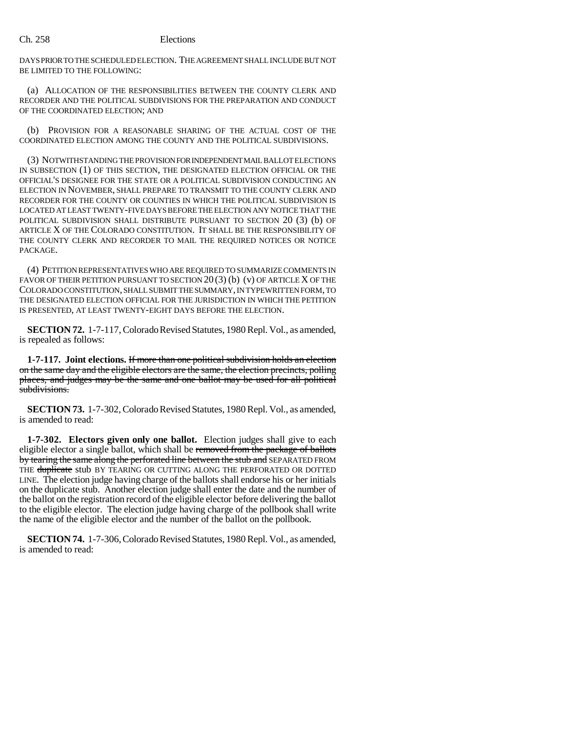DAYS PRIOR TO THE SCHEDULED ELECTION. THE AGREEMENT SHALL INCLUDE BUT NOT BE LIMITED TO THE FOLLOWING:

(a) ALLOCATION OF THE RESPONSIBILITIES BETWEEN THE COUNTY CLERK AND RECORDER AND THE POLITICAL SUBDIVISIONS FOR THE PREPARATION AND CONDUCT OF THE COORDINATED ELECTION; AND

(b) PROVISION FOR A REASONABLE SHARING OF THE ACTUAL COST OF THE COORDINATED ELECTION AMONG THE COUNTY AND THE POLITICAL SUBDIVISIONS.

(3) NOTWITHSTANDING THE PROVISION FOR INDEPENDENT MAIL BALLOT ELECTIONS IN SUBSECTION (1) OF THIS SECTION, THE DESIGNATED ELECTION OFFICIAL OR THE OFFICIAL'S DESIGNEE FOR THE STATE OR A POLITICAL SUBDIVISION CONDUCTING AN ELECTION IN NOVEMBER, SHALL PREPARE TO TRANSMIT TO THE COUNTY CLERK AND RECORDER FOR THE COUNTY OR COUNTIES IN WHICH THE POLITICAL SUBDIVISION IS LOCATED AT LEAST TWENTY-FIVE DAYS BEFORE THE ELECTION ANY NOTICE THAT THE POLITICAL SUBDIVISION SHALL DISTRIBUTE PURSUANT TO SECTION 20 (3) (b) OF ARTICLE X OF THE COLORADO CONSTITUTION. IT SHALL BE THE RESPONSIBILITY OF THE COUNTY CLERK AND RECORDER TO MAIL THE REQUIRED NOTICES OR NOTICE PACKAGE.

(4) PETITION REPRESENTATIVES WHO ARE REQUIRED TO SUMMARIZE COMMENTS IN FAVOR OF THEIR PETITION PURSUANT TO SECTION  $20(3)(b)(v)$  OF ARTICLE X OF THE COLORADO CONSTITUTION, SHALL SUBMIT THE SUMMARY, IN TYPEWRITTEN FORM, TO THE DESIGNATED ELECTION OFFICIAL FOR THE JURISDICTION IN WHICH THE PETITION IS PRESENTED, AT LEAST TWENTY-EIGHT DAYS BEFORE THE ELECTION.

**SECTION 72.** 1-7-117, Colorado Revised Statutes, 1980 Repl. Vol., as amended, is repealed as follows:

**1-7-117. Joint elections.** If more than one political subdivision holds an election on the same day and the eligible electors are the same, the election precincts, polling places, and judges may be the same and one ballot may be used for all political subdivisions.

**SECTION 73.** 1-7-302, Colorado Revised Statutes, 1980 Repl. Vol., as amended, is amended to read:

**1-7-302. Electors given only one ballot.** Election judges shall give to each eligible elector a single ballot, which shall be removed from the package of ballots by tearing the same along the perforated line between the stub and SEPARATED FROM THE duplicate stub BY TEARING OR CUTTING ALONG THE PERFORATED OR DOTTED LINE. The election judge having charge of the ballots shall endorse his or her initials on the duplicate stub. Another election judge shall enter the date and the number of the ballot on the registration record of the eligible elector before delivering the ballot to the eligible elector. The election judge having charge of the pollbook shall write the name of the eligible elector and the number of the ballot on the pollbook.

**SECTION 74.** 1-7-306, Colorado Revised Statutes, 1980 Repl. Vol., as amended, is amended to read: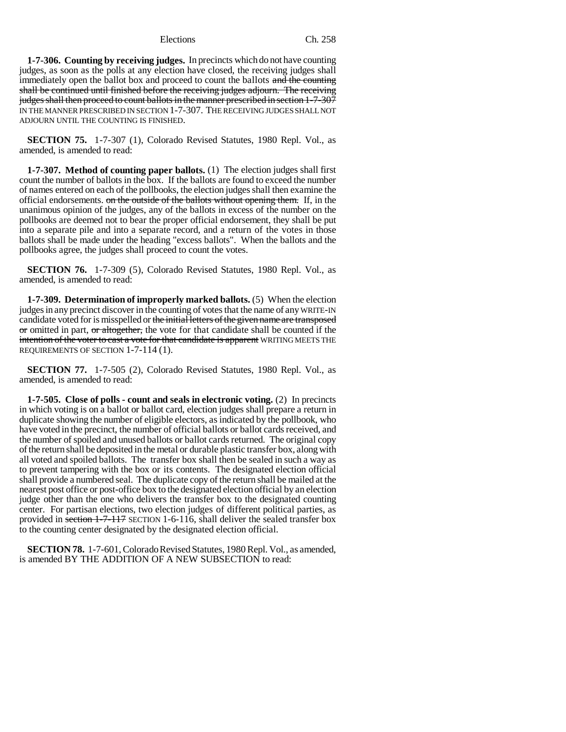**1-7-306. Counting by receiving judges.** In precincts which do not have counting judges, as soon as the polls at any election have closed, the receiving judges shall immediately open the ballot box and proceed to count the ballots and the counting shall be continued until finished before the receiving judges adjourn. The receiving judges shall then proceed to count ballots in the manner prescribed in section 1-7-307 IN THE MANNER PRESCRIBED IN SECTION 1-7-307. THE RECEIVING JUDGES SHALL NOT ADJOURN UNTIL THE COUNTING IS FINISHED.

**SECTION 75.** 1-7-307 (1), Colorado Revised Statutes, 1980 Repl. Vol., as amended, is amended to read:

**1-7-307. Method of counting paper ballots.** (1) The election judges shall first count the number of ballots in the box. If the ballots are found to exceed the number of names entered on each of the pollbooks, the election judges shall then examine the official endorsements. on the outside of the ballots without opening them. If, in the unanimous opinion of the judges, any of the ballots in excess of the number on the pollbooks are deemed not to bear the proper official endorsement, they shall be put into a separate pile and into a separate record, and a return of the votes in those ballots shall be made under the heading "excess ballots". When the ballots and the pollbooks agree, the judges shall proceed to count the votes.

**SECTION 76.** 1-7-309 (5), Colorado Revised Statutes, 1980 Repl. Vol., as amended, is amended to read:

**1-7-309. Determination of improperly marked ballots.** (5) When the election judges in any precinct discover in the counting of votes that the name of any WRITE-IN candidate voted for is misspelled or the initial letters of the given name are transposed or omitted in part, or altogether, the vote for that candidate shall be counted if the intention of the voter to cast a vote for that candidate is apparent WRITING MEETS THE REQUIREMENTS OF SECTION 1-7-114 (1).

**SECTION 77.** 1-7-505 (2), Colorado Revised Statutes, 1980 Repl. Vol., as amended, is amended to read:

**1-7-505. Close of polls - count and seals in electronic voting.** (2) In precincts in which voting is on a ballot or ballot card, election judges shall prepare a return in duplicate showing the number of eligible electors, as indicated by the pollbook, who have voted in the precinct, the number of official ballots or ballot cards received, and the number of spoiled and unused ballots or ballot cards returned. The original copy of the return shall be deposited in the metal or durable plastic transfer box, along with all voted and spoiled ballots. The transfer box shall then be sealed in such a way as to prevent tampering with the box or its contents. The designated election official shall provide a numbered seal. The duplicate copy of the return shall be mailed at the nearest post office or post-office box to the designated election official by an election judge other than the one who delivers the transfer box to the designated counting center. For partisan elections, two election judges of different political parties, as provided in section 1-7-117 SECTION 1-6-116, shall deliver the sealed transfer box to the counting center designated by the designated election official.

**SECTION 78.** 1-7-601, Colorado Revised Statutes, 1980 Repl. Vol., as amended, is amended BY THE ADDITION OF A NEW SUBSECTION to read: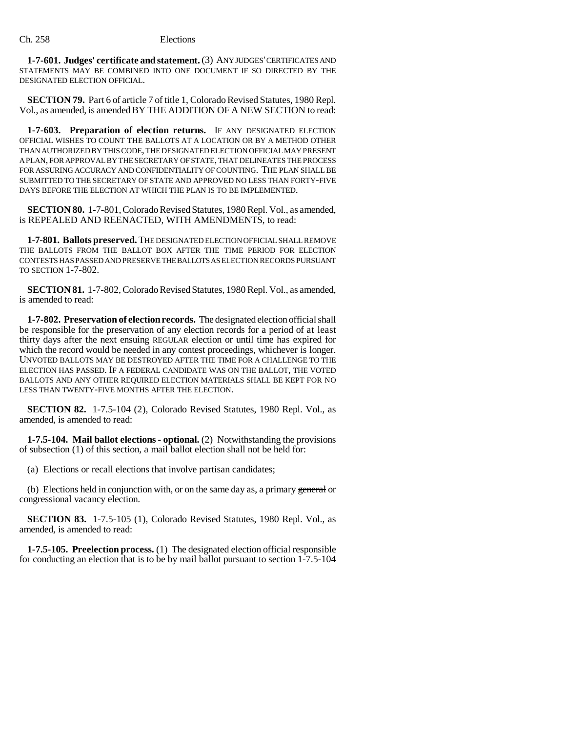**1-7-601. Judges' certificate and statement.** (3) ANY JUDGES' CERTIFICATES AND STATEMENTS MAY BE COMBINED INTO ONE DOCUMENT IF SO DIRECTED BY THE DESIGNATED ELECTION OFFICIAL.

**SECTION 79.** Part 6 of article 7 of title 1, Colorado Revised Statutes, 1980 Repl. Vol., as amended, is amended BY THE ADDITION OF A NEW SECTION to read:

**1-7-603. Preparation of election returns.** IF ANY DESIGNATED ELECTION OFFICIAL WISHES TO COUNT THE BALLOTS AT A LOCATION OR BY A METHOD OTHER THAN AUTHORIZED BY THIS CODE, THE DESIGNATED ELECTION OFFICIAL MAY PRESENT A PLAN, FOR APPROVAL BY THE SECRETARY OF STATE, THAT DELINEATES THE PROCESS FOR ASSURING ACCURACY AND CONFIDENTIALITY OF COUNTING. THE PLAN SHALL BE SUBMITTED TO THE SECRETARY OF STATE AND APPROVED NO LESS THAN FORTY-FIVE DAYS BEFORE THE ELECTION AT WHICH THE PLAN IS TO BE IMPLEMENTED.

**SECTION 80.** 1-7-801, Colorado Revised Statutes, 1980 Repl. Vol., as amended, is REPEALED AND REENACTED, WITH AMENDMENTS, to read:

**1-7-801. Ballots preserved.** THE DESIGNATED ELECTION OFFICIAL SHALL REMOVE THE BALLOTS FROM THE BALLOT BOX AFTER THE TIME PERIOD FOR ELECTION CONTESTS HAS PASSED AND PRESERVE THE BALLOTS AS ELECTION RECORDS PURSUANT TO SECTION 1-7-802.

**SECTION 81.** 1-7-802, Colorado Revised Statutes, 1980 Repl. Vol., as amended, is amended to read:

**1-7-802. Preservation of election records.** The designated election official shall be responsible for the preservation of any election records for a period of at least thirty days after the next ensuing REGULAR election or until time has expired for which the record would be needed in any contest proceedings, whichever is longer. UNVOTED BALLOTS MAY BE DESTROYED AFTER THE TIME FOR A CHALLENGE TO THE ELECTION HAS PASSED. IF A FEDERAL CANDIDATE WAS ON THE BALLOT, THE VOTED BALLOTS AND ANY OTHER REQUIRED ELECTION MATERIALS SHALL BE KEPT FOR NO LESS THAN TWENTY-FIVE MONTHS AFTER THE ELECTION.

**SECTION 82.** 1-7.5-104 (2), Colorado Revised Statutes, 1980 Repl. Vol., as amended, is amended to read:

**1-7.5-104. Mail ballot elections - optional.** (2) Notwithstanding the provisions of subsection (1) of this section, a mail ballot election shall not be held for:

(a) Elections or recall elections that involve partisan candidates;

(b) Elections held in conjunction with, or on the same day as, a primary general or congressional vacancy election.

**SECTION 83.** 1-7.5-105 (1), Colorado Revised Statutes, 1980 Repl. Vol., as amended, is amended to read:

**1-7.5-105. Preelection process.** (1) The designated election official responsible for conducting an election that is to be by mail ballot pursuant to section 1-7.5-104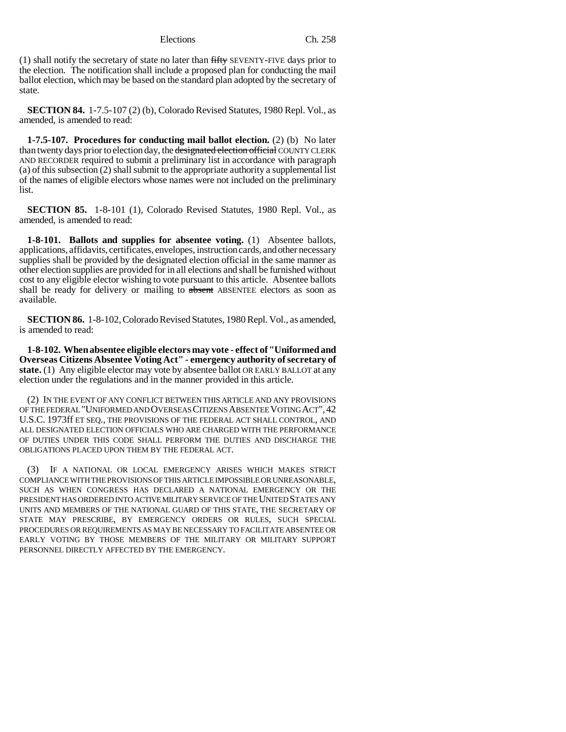(1) shall notify the secretary of state no later than fifty SEVENTY-FIVE days prior to the election. The notification shall include a proposed plan for conducting the mail ballot election, which may be based on the standard plan adopted by the secretary of state.

**SECTION 84.** 1-7.5-107 (2) (b), Colorado Revised Statutes, 1980 Repl. Vol., as amended, is amended to read:

**1-7.5-107. Procedures for conducting mail ballot election.** (2) (b) No later than twenty days prior to election day, the designated election of ficial COUNTY CLERK AND RECORDER required to submit a preliminary list in accordance with paragraph (a) of this subsection (2) shall submit to the appropriate authority a supplemental list of the names of eligible electors whose names were not included on the preliminary list.

**SECTION 85.** 1-8-101 (1), Colorado Revised Statutes, 1980 Repl. Vol., as amended, is amended to read:

**1-8-101. Ballots and supplies for absentee voting.** (1) Absentee ballots, applications, affidavits, certificates, envelopes, instruction cards, and other necessary supplies shall be provided by the designated election official in the same manner as other election supplies are provided for in all elections and shall be furnished without cost to any eligible elector wishing to vote pursuant to this article. Absentee ballots shall be ready for delivery or mailing to absent ABSENTEE electors as soon as available.

**SECTION 86.** 1-8-102, Colorado Revised Statutes, 1980 Repl. Vol., as amended, is amended to read:

**1-8-102. When absentee eligible electors may vote - effect of "Uniformed and Overseas Citizens Absentee Voting Act" - emergency authority of secretary of state.** (1) Any eligible elector may vote by absentee ballot OR EARLY BALLOT at any election under the regulations and in the manner provided in this article.

(2) IN THE EVENT OF ANY CONFLICT BETWEEN THIS ARTICLE AND ANY PROVISIONS OF THE FEDERAL "UNIFORMED AND OVERSEAS CITIZENS ABSENTEE VOTING ACT",42 U.S.C. 1973ff ET SEQ., THE PROVISIONS OF THE FEDERAL ACT SHALL CONTROL, AND ALL DESIGNATED ELECTION OFFICIALS WHO ARE CHARGED WITH THE PERFORMANCE OF DUTIES UNDER THIS CODE SHALL PERFORM THE DUTIES AND DISCHARGE THE OBLIGATIONS PLACED UPON THEM BY THE FEDERAL ACT.

(3) IF A NATIONAL OR LOCAL EMERGENCY ARISES WHICH MAKES STRICT COMPLIANCE WITH THE PROVISIONS OF THIS ARTICLE IMPOSSIBLE OR UNREASONABLE, SUCH AS WHEN CONGRESS HAS DECLARED A NATIONAL EMERGENCY OR THE PRESIDENT HAS ORDERED INTO ACTIVE MILITARY SERVICE OF THE UNITED STATES ANY UNITS AND MEMBERS OF THE NATIONAL GUARD OF THIS STATE, THE SECRETARY OF STATE MAY PRESCRIBE, BY EMERGENCY ORDERS OR RULES, SUCH SPECIAL PROCEDURES OR REQUIREMENTS AS MAY BE NECESSARY TO FACILITATE ABSENTEE OR EARLY VOTING BY THOSE MEMBERS OF THE MILITARY OR MILITARY SUPPORT PERSONNEL DIRECTLY AFFECTED BY THE EMERGENCY.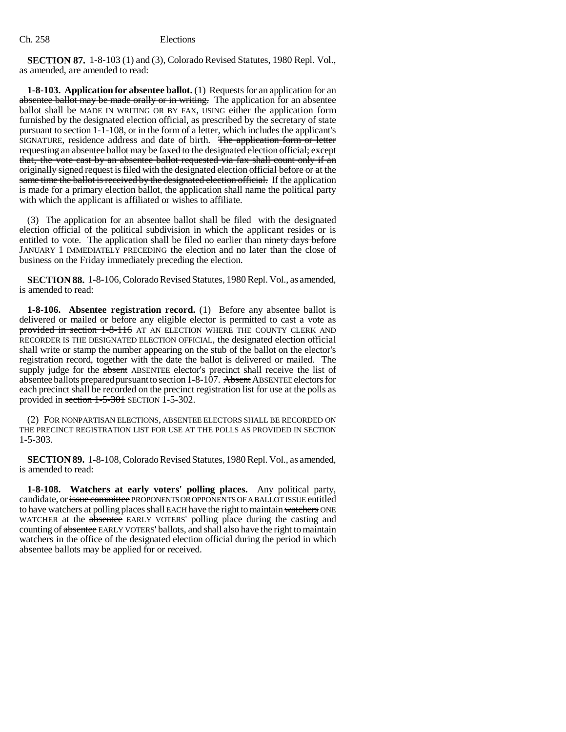**SECTION 87.** 1-8-103 (1) and (3), Colorado Revised Statutes, 1980 Repl. Vol., as amended, are amended to read:

**1-8-103. Application for absentee ballot.** (1) Requests for an application for an absentee ballot may be made orally or in writing. The application for an absentee ballot shall be MADE IN WRITING OR BY FAX, USING either the application form furnished by the designated election official, as prescribed by the secretary of state pursuant to section 1-1-108, or in the form of a letter, which includes the applicant's SIGNATURE, residence address and date of birth. The application form or letter requesting an absentee ballot may be faxed to the designated election official; except that, the vote cast by an absentee ballot requested via fax shall count only if an originally signed request is filed with the designated election official before or at the same time the ballot is received by the designated election official. If the application is made for a primary election ballot, the application shall name the political party with which the applicant is affiliated or wishes to affiliate.

(3) The application for an absentee ballot shall be filed with the designated election official of the political subdivision in which the applicant resides or is entitled to vote. The application shall be filed no earlier than ninety days before JANUARY 1 IMMEDIATELY PRECEDING the election and no later than the close of business on the Friday immediately preceding the election.

**SECTION 88.** 1-8-106, Colorado Revised Statutes, 1980 Repl. Vol., as amended, is amended to read:

**1-8-106. Absentee registration record.** (1) Before any absentee ballot is delivered or mailed or before any eligible elector is permitted to cast a vote as provided in section 1-8-116 AT AN ELECTION WHERE THE COUNTY CLERK AND RECORDER IS THE DESIGNATED ELECTION OFFICIAL, the designated election official shall write or stamp the number appearing on the stub of the ballot on the elector's registration record, together with the date the ballot is delivered or mailed. The supply judge for the absent ABSENTEE elector's precinct shall receive the list of absentee ballots prepared pursuant to section 1-8-107. Absent ABSENTEE electors for each precinct shall be recorded on the precinct registration list for use at the polls as provided in section  $1-5-301$  SECTION 1-5-302.

(2) FOR NONPARTISAN ELECTIONS, ABSENTEE ELECTORS SHALL BE RECORDED ON THE PRECINCT REGISTRATION LIST FOR USE AT THE POLLS AS PROVIDED IN SECTION 1-5-303.

**SECTION 89.** 1-8-108, Colorado Revised Statutes, 1980 Repl. Vol., as amended, is amended to read:

**1-8-108. Watchers at early voters' polling places.** Any political party, candidate, or issue committee PROPONENTS OR OPPONENTS OF A BALLOT ISSUE entitled to have watchers at polling places shall EACH have the right to maintain watchers ONE WATCHER at the absentee EARLY VOTERS' polling place during the casting and counting of absentee EARLY VOTERS' ballots, and shall also have the right to maintain watchers in the office of the designated election official during the period in which absentee ballots may be applied for or received.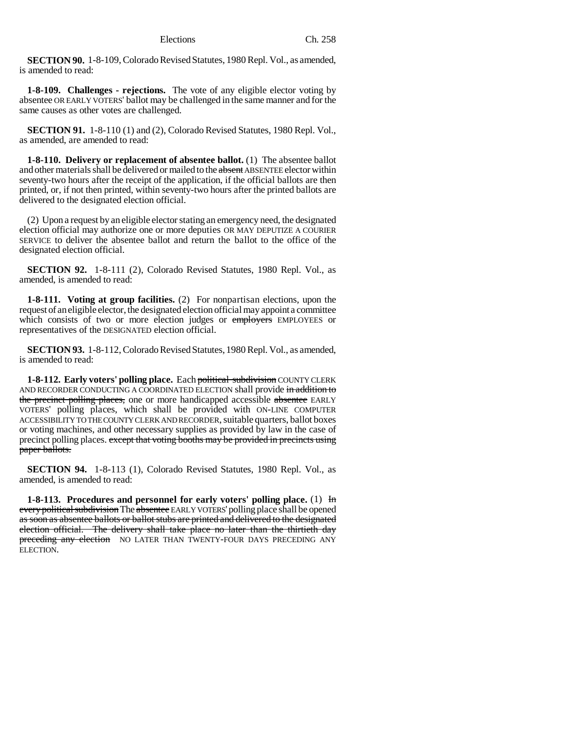**SECTION 90.** 1-8-109, Colorado Revised Statutes, 1980 Repl. Vol., as amended, is amended to read:

**1-8-109. Challenges - rejections.** The vote of any eligible elector voting by absentee OR EARLY VOTERS' ballot may be challenged in the same manner and for the same causes as other votes are challenged.

**SECTION 91.** 1-8-110 (1) and (2), Colorado Revised Statutes, 1980 Repl. Vol., as amended, are amended to read:

**1-8-110. Delivery or replacement of absentee ballot.** (1) The absentee ballot and other materials shall be delivered or mailed to the absent ABSENTEE elector within seventy-two hours after the receipt of the application, if the official ballots are then printed, or, if not then printed, within seventy-two hours after the printed ballots are delivered to the designated election official.

(2) Upon a request by an eligible elector stating an emergency need, the designated election official may authorize one or more deputies OR MAY DEPUTIZE A COURIER SERVICE to deliver the absentee ballot and return the ballot to the office of the designated election official.

**SECTION 92.** 1-8-111 (2), Colorado Revised Statutes, 1980 Repl. Vol., as amended, is amended to read:

**1-8-111. Voting at group facilities.** (2) For nonpartisan elections, upon the request of an eligible elector, the designated election official may appoint a committee which consists of two or more election judges or employers EMPLOYEES or representatives of the DESIGNATED election official.

**SECTION 93.** 1-8-112, Colorado Revised Statutes, 1980 Repl. Vol., as amended, is amended to read:

**1-8-112. Early voters' polling place.** Each political subdivision COUNTY CLERK AND RECORDER CONDUCTING A COORDINATED ELECTION shall provide in addition to the precinct polling places, one or more handicapped accessible absentee EARLY VOTERS' polling places, which shall be provided with ON-LINE COMPUTER ACCESSIBILITY TO THE COUNTY CLERK AND RECORDER, suitable quarters, ballot boxes or voting machines, and other necessary supplies as provided by law in the case of precinct polling places. except that voting booths may be provided in precincts using paper ballots.

**SECTION 94.** 1-8-113 (1), Colorado Revised Statutes, 1980 Repl. Vol., as amended, is amended to read:

**1-8-113.** Procedures and personnel for early voters' polling place. (1) In every political subdivision The absentee EARLY VOTERS' polling place shall be opened as soon as absentee ballots or ballot stubs are printed and delivered to the designated election official. The delivery shall take place no later than the thirtieth day preceding any election NO LATER THAN TWENTY-FOUR DAYS PRECEDING ANY ELECTION.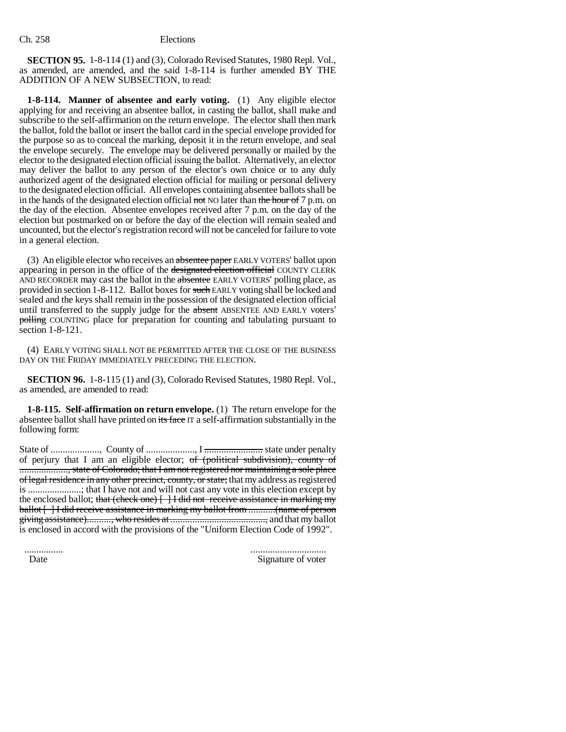**SECTION 95.** 1-8-114 (1) and (3), Colorado Revised Statutes, 1980 Repl. Vol., as amended, are amended, and the said 1-8-114 is further amended BY THE ADDITION OF A NEW SUBSECTION, to read:

**1-8-114. Manner of absentee and early voting.** (1) Any eligible elector applying for and receiving an absentee ballot, in casting the ballot, shall make and subscribe to the self-affirmation on the return envelope. The elector shall then mark the ballot, fold the ballot or insert the ballot card in the special envelope provided for the purpose so as to conceal the marking, deposit it in the return envelope, and seal the envelope securely. The envelope may be delivered personally or mailed by the elector to the designated election official issuing the ballot. Alternatively, an elector may deliver the ballot to any person of the elector's own choice or to any duly authorized agent of the designated election official for mailing or personal delivery to the designated election official. All envelopes containing absentee ballots shall be in the hands of the designated election official not NO later than the hour of  $7$  p.m. on the day of the election. Absentee envelopes received after 7 p.m. on the day of the election but postmarked on or before the day of the election will remain sealed and uncounted, but the elector's registration record will not be canceled for failure to vote in a general election.

(3) An eligible elector who receives an absentee paper EARLY VOTERS' ballot upon appearing in person in the office of the designated election official COUNTY CLERK AND RECORDER may cast the ballot in the absentee EARLY VOTERS' polling place, as provided in section 1-8-112. Ballot boxes for such EARLY voting shall be locked and sealed and the keys shall remain in the possession of the designated election official until transferred to the supply judge for the absent ABSENTEE AND EARLY voters' polling COUNTING place for preparation for counting and tabulating pursuant to section 1-8-121.

(4) EARLY VOTING SHALL NOT BE PERMITTED AFTER THE CLOSE OF THE BUSINESS DAY ON THE FRIDAY IMMEDIATELY PRECEDING THE ELECTION.

**SECTION 96.** 1-8-115 (1) and (3), Colorado Revised Statutes, 1980 Repl. Vol., as amended, are amended to read:

**1-8-115. Self-affirmation on return envelope.** (1) The return envelope for the absentee ballot shall have printed on its face IT a self-affirmation substantially in the following form:

State of ...................., County of ...................., I ........................ state under penalty of perjury that I am an eligible elector;  $of$  (political subdivision), county of ...................., state of Colorado; that I am not registered nor maintaining a sole place of legal residence in any other precinct, county, or state; that my address as registered is ......................; that I have not and will not cast any vote in this election except by the enclosed ballot; that (check one)  $\{\}$  is did not receive assistance in marking my ballot [ ] I did receive assistance in marking my ballot from ...........(name of person giving assistance).........., who resides at ......................................., and that my ballot is enclosed in accord with the provisions of the "Uniform Election Code of 1992".

 ................ ............................... Date Signature of voter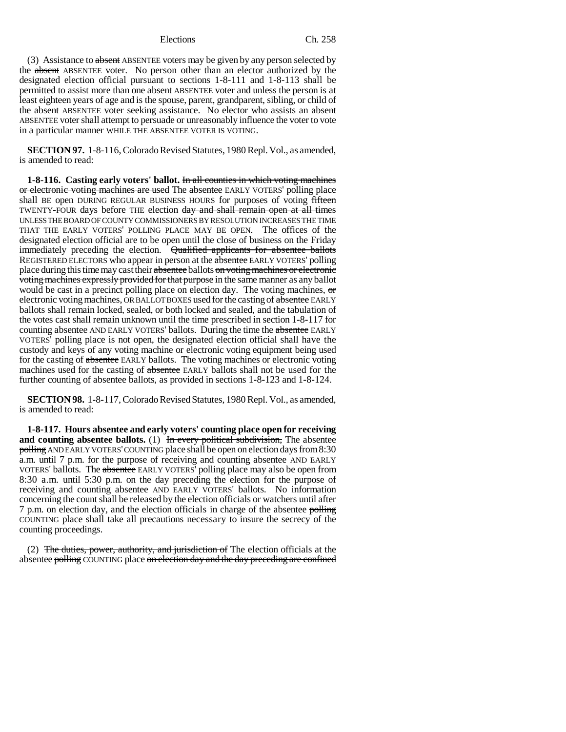(3) Assistance to absent ABSENTEE voters may be given by any person selected by the absent ABSENTEE voter. No person other than an elector authorized by the designated election official pursuant to sections 1-8-111 and 1-8-113 shall be permitted to assist more than one absent ABSENTEE voter and unless the person is at least eighteen years of age and is the spouse, parent, grandparent, sibling, or child of the absent ABSENTEE voter seeking assistance. No elector who assists an absent ABSENTEE voter shall attempt to persuade or unreasonably influence the voter to vote in a particular manner WHILE THE ABSENTEE VOTER IS VOTING.

**SECTION 97.** 1-8-116, Colorado Revised Statutes, 1980 Repl. Vol., as amended, is amended to read:

**1-8-116.** Casting early voters' ballot. In all counties in which voting machines or electronic voting machines are used The absentee EARLY VOTERS' polling place shall BE open DURING REGULAR BUSINESS HOURS for purposes of voting fifteen TWENTY-FOUR days before THE election day and shall remain open at all times UNLESS THE BOARD OF COUNTY COMMISSIONERS BY RESOLUTION INCREASES THE TIME THAT THE EARLY VOTERS' POLLING PLACE MAY BE OPEN. The offices of the designated election official are to be open until the close of business on the Friday immediately preceding the election. Qualified applicants for absentee ballots REGISTERED ELECTORS who appear in person at the absentee EARLY VOTERS' polling place during this time may cast their absentee ballots on voting machines or electronic voting machines expressly provided for that purpose in the same manner as any ballot would be cast in a precinct polling place on election day. The voting machines,  $\sigma$ electronic voting machines, OR BALLOT BOXES used for the casting of absentee EARLY ballots shall remain locked, sealed, or both locked and sealed, and the tabulation of the votes cast shall remain unknown until the time prescribed in section 1-8-117 for counting absentee AND EARLY VOTERS' ballots. During the time the absentee EARLY VOTERS' polling place is not open, the designated election official shall have the custody and keys of any voting machine or electronic voting equipment being used for the casting of absentee EARLY ballots. The voting machines or electronic voting machines used for the casting of absentee EARLY ballots shall not be used for the further counting of absentee ballots, as provided in sections 1-8-123 and 1-8-124.

**SECTION 98.** 1-8-117, Colorado Revised Statutes, 1980 Repl. Vol., as amended, is amended to read:

**1-8-117. Hours absentee and early voters' counting place open for receiving and counting absentee ballots.** (1) In every political subdivision, The absentee polling AND EARLY VOTERS' COUNTING place shall be open on election days from 8:30 a.m. until 7 p.m. for the purpose of receiving and counting absentee AND EARLY VOTERS' ballots. The absentee EARLY VOTERS' polling place may also be open from 8:30 a.m. until 5:30 p.m. on the day preceding the election for the purpose of receiving and counting absentee AND EARLY VOTERS' ballots. No information concerning the count shall be released by the election officials or watchers until after 7 p.m. on election day, and the election officials in charge of the absentee polling COUNTING place shall take all precautions necessary to insure the secrecy of the counting proceedings.

(2) The duties, power, authority, and jurisdiction of The election officials at the absentee polling COUNTING place on election day and the day preceding are confined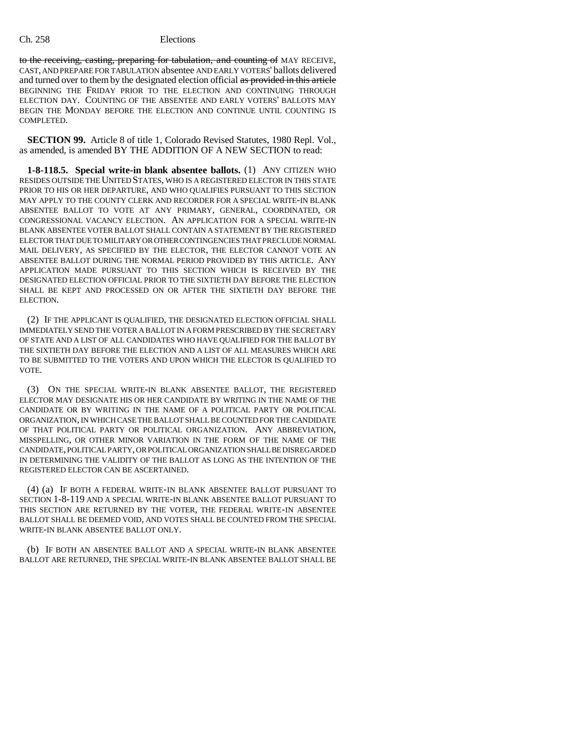to the receiving, casting, preparing for tabulation, and counting of MAY RECEIVE, CAST, AND PREPARE FOR TABULATION absentee AND EARLY VOTERS' ballots delivered and turned over to them by the designated election official as provided in this article BEGINNING THE FRIDAY PRIOR TO THE ELECTION AND CONTINUING THROUGH ELECTION DAY. COUNTING OF THE ABSENTEE AND EARLY VOTERS' BALLOTS MAY BEGIN THE MONDAY BEFORE THE ELECTION AND CONTINUE UNTIL COUNTING IS COMPLETED.

**SECTION 99.** Article 8 of title 1, Colorado Revised Statutes, 1980 Repl. Vol., as amended, is amended BY THE ADDITION OF A NEW SECTION to read:

**1-8-118.5. Special write-in blank absentee ballots.** (1) ANY CITIZEN WHO RESIDES OUTSIDE THE UNITED STATES, WHO IS A REGISTERED ELECTOR IN THIS STATE PRIOR TO HIS OR HER DEPARTURE, AND WHO QUALIFIES PURSUANT TO THIS SECTION MAY APPLY TO THE COUNTY CLERK AND RECORDER FOR A SPECIAL WRITE-IN BLANK ABSENTEE BALLOT TO VOTE AT ANY PRIMARY, GENERAL, COORDINATED, OR CONGRESSIONAL VACANCY ELECTION. AN APPLICATION FOR A SPECIAL WRITE-IN BLANK ABSENTEE VOTER BALLOT SHALL CONTAIN A STATEMENT BY THE REGISTERED ELECTOR THAT DUE TO MILITARY OR OTHER CONTINGENCIES THAT PRECLUDE NORMAL MAIL DELIVERY, AS SPECIFIED BY THE ELECTOR, THE ELECTOR CANNOT VOTE AN ABSENTEE BALLOT DURING THE NORMAL PERIOD PROVIDED BY THIS ARTICLE. ANY APPLICATION MADE PURSUANT TO THIS SECTION WHICH IS RECEIVED BY THE DESIGNATED ELECTION OFFICIAL PRIOR TO THE SIXTIETH DAY BEFORE THE ELECTION SHALL BE KEPT AND PROCESSED ON OR AFTER THE SIXTIETH DAY BEFORE THE ELECTION.

(2) IF THE APPLICANT IS QUALIFIED, THE DESIGNATED ELECTION OFFICIAL SHALL IMMEDIATELY SEND THE VOTER A BALLOT IN A FORM PRESCRIBED BY THE SECRETARY OF STATE AND A LIST OF ALL CANDIDATES WHO HAVE QUALIFIED FOR THE BALLOT BY THE SIXTIETH DAY BEFORE THE ELECTION AND A LIST OF ALL MEASURES WHICH ARE TO BE SUBMITTED TO THE VOTERS AND UPON WHICH THE ELECTOR IS QUALIFIED TO VOTE.

(3) ON THE SPECIAL WRITE-IN BLANK ABSENTEE BALLOT, THE REGISTERED ELECTOR MAY DESIGNATE HIS OR HER CANDIDATE BY WRITING IN THE NAME OF THE CANDIDATE OR BY WRITING IN THE NAME OF A POLITICAL PARTY OR POLITICAL ORGANIZATION, IN WHICH CASE THE BALLOT SHALL BE COUNTED FOR THE CANDIDATE OF THAT POLITICAL PARTY OR POLITICAL ORGANIZATION. ANY ABBREVIATION, MISSPELLING, OR OTHER MINOR VARIATION IN THE FORM OF THE NAME OF THE CANDIDATE, POLITICAL PARTY, OR POLITICAL ORGANIZATION SHALL BE DISREGARDED IN DETERMINING THE VALIDITY OF THE BALLOT AS LONG AS THE INTENTION OF THE REGISTERED ELECTOR CAN BE ASCERTAINED.

(4) (a) IF BOTH A FEDERAL WRITE-IN BLANK ABSENTEE BALLOT PURSUANT TO SECTION 1-8-119 AND A SPECIAL WRITE-IN BLANK ABSENTEE BALLOT PURSUANT TO THIS SECTION ARE RETURNED BY THE VOTER, THE FEDERAL WRITE-IN ABSENTEE BALLOT SHALL BE DEEMED VOID, AND VOTES SHALL BE COUNTED FROM THE SPECIAL WRITE-IN BLANK ABSENTEE BALLOT ONLY.

(b) IF BOTH AN ABSENTEE BALLOT AND A SPECIAL WRITE-IN BLANK ABSENTEE BALLOT ARE RETURNED, THE SPECIAL WRITE-IN BLANK ABSENTEE BALLOT SHALL BE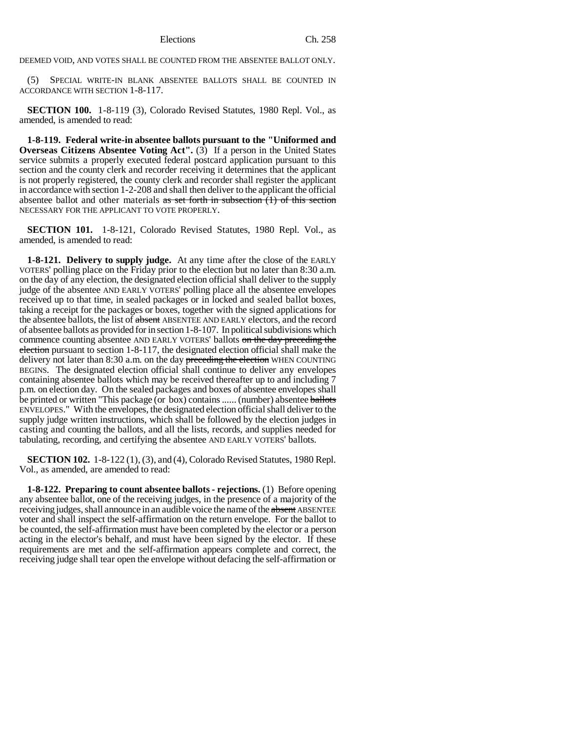DEEMED VOID, AND VOTES SHALL BE COUNTED FROM THE ABSENTEE BALLOT ONLY.

(5) SPECIAL WRITE-IN BLANK ABSENTEE BALLOTS SHALL BE COUNTED IN ACCORDANCE WITH SECTION 1-8-117.

**SECTION 100.** 1-8-119 (3), Colorado Revised Statutes, 1980 Repl. Vol., as amended, is amended to read:

**1-8-119. Federal write-in absentee ballots pursuant to the "Uniformed and Overseas Citizens Absentee Voting Act''.** (3) If a person in the United States service submits a properly executed federal postcard application pursuant to this section and the county clerk and recorder receiving it determines that the applicant is not properly registered, the county clerk and recorder shall register the applicant in accordance with section 1-2-208 and shall then deliver to the applicant the official absentee ballot and other materials  $\overline{a}$  as set forth in subsection (1) of this section NECESSARY FOR THE APPLICANT TO VOTE PROPERLY.

**SECTION 101.** 1-8-121, Colorado Revised Statutes, 1980 Repl. Vol., as amended, is amended to read:

**1-8-121. Delivery to supply judge.** At any time after the close of the EARLY VOTERS' polling place on the Friday prior to the election but no later than 8:30 a.m. on the day of any election, the designated election official shall deliver to the supply judge of the absentee AND EARLY VOTERS' polling place all the absentee envelopes received up to that time, in sealed packages or in locked and sealed ballot boxes, taking a receipt for the packages or boxes, together with the signed applications for the absentee ballots, the list of absent ABSENTEE AND EARLY electors, and the record of absentee ballots as provided for in section 1-8-107. In political subdivisions which commence counting absentee AND EARLY VOTERS' ballots on the day preceding the election pursuant to section 1-8-117, the designated election official shall make the delivery not later than 8:30 a.m. on the day preceding the election WHEN COUNTING BEGINS. The designated election official shall continue to deliver any envelopes containing absentee ballots which may be received thereafter up to and including 7 p.m. on election day. On the sealed packages and boxes of absentee envelopes shall be printed or written "This package (or box) contains ...... (number) absentee ballots ENVELOPES." With the envelopes, the designated election official shall deliver to the supply judge written instructions, which shall be followed by the election judges in casting and counting the ballots, and all the lists, records, and supplies needed for tabulating, recording, and certifying the absentee AND EARLY VOTERS' ballots.

**SECTION 102.** 1-8-122 (1), (3), and (4), Colorado Revised Statutes, 1980 Repl. Vol., as amended, are amended to read:

**1-8-122. Preparing to count absentee ballots - rejections.** (1) Before opening any absentee ballot, one of the receiving judges, in the presence of a majority of the receiving judges, shall announce in an audible voice the name of the absent ABSENTEE voter and shall inspect the self-affirmation on the return envelope. For the ballot to be counted, the self-affirmation must have been completed by the elector or a person acting in the elector's behalf, and must have been signed by the elector. If these requirements are met and the self-affirmation appears complete and correct, the receiving judge shall tear open the envelope without defacing the self-affirmation or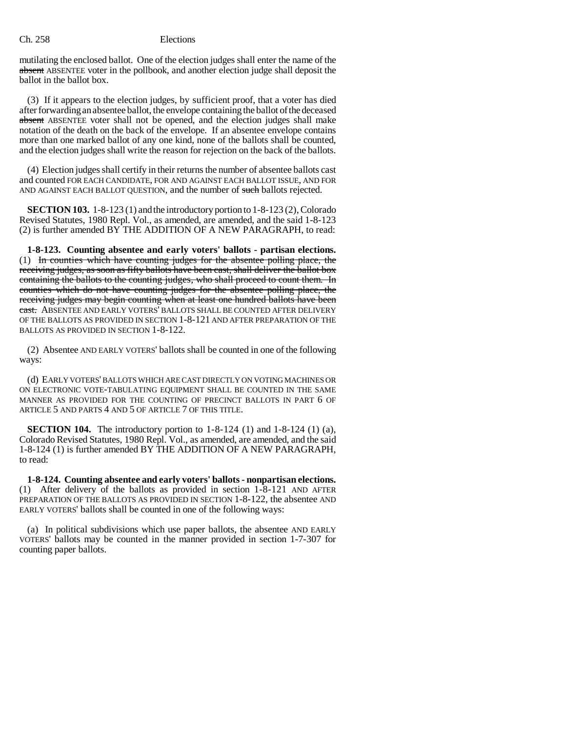mutilating the enclosed ballot. One of the election judges shall enter the name of the absent ABSENTEE voter in the pollbook, and another election judge shall deposit the ballot in the ballot box.

(3) If it appears to the election judges, by sufficient proof, that a voter has died after forwarding an absentee ballot, the envelope containing the ballot of the deceased absent ABSENTEE voter shall not be opened, and the election judges shall make notation of the death on the back of the envelope. If an absentee envelope contains more than one marked ballot of any one kind, none of the ballots shall be counted, and the election judges shall write the reason for rejection on the back of the ballots.

(4) Election judges shall certify in their returns the number of absentee ballots cast and counted FOR EACH CANDIDATE, FOR AND AGAINST EACH BALLOT ISSUE, AND FOR AND AGAINST EACH BALLOT OUESTION, and the number of such ballots rejected.

**SECTION 103.** 1-8-123 (1) and the introductory portion to 1-8-123 (2), Colorado Revised Statutes, 1980 Repl. Vol., as amended, are amended, and the said 1-8-123 (2) is further amended BY THE ADDITION OF A NEW PARAGRAPH, to read:

**1-8-123. Counting absentee and early voters' ballots - partisan elections.** (1) In counties which have counting judges for the absentee polling place, the receiving judges, as soon as fifty ballots have been cast, shall deliver the ballot box containing the ballots to the counting judges, who shall proceed to count them. In counties which do not have counting judges for the absentee polling place, the receiving judges may begin counting when at least one hundred ballots have been cast. ABSENTEE AND EARLY VOTERS' BALLOTS SHALL BE COUNTED AFTER DELIVERY OF THE BALLOTS AS PROVIDED IN SECTION 1-8-121 AND AFTER PREPARATION OF THE BALLOTS AS PROVIDED IN SECTION 1-8-122.

(2) Absentee AND EARLY VOTERS' ballots shall be counted in one of the following ways:

(d) EARLY VOTERS' BALLOTS WHICH ARE CAST DIRECTLY ON VOTING MACHINES OR ON ELECTRONIC VOTE-TABULATING EQUIPMENT SHALL BE COUNTED IN THE SAME MANNER AS PROVIDED FOR THE COUNTING OF PRECINCT BALLOTS IN PART 6 OF ARTICLE 5 AND PARTS 4 AND 5 OF ARTICLE 7 OF THIS TITLE.

**SECTION 104.** The introductory portion to 1-8-124 (1) and 1-8-124 (1) (a), Colorado Revised Statutes, 1980 Repl. Vol., as amended, are amended, and the said 1-8-124 (1) is further amended BY THE ADDITION OF A NEW PARAGRAPH, to read:

**1-8-124. Counting absentee and early voters' ballots - nonpartisan elections.** (1) After delivery of the ballots as provided in section 1-8-121 AND AFTER PREPARATION OF THE BALLOTS AS PROVIDED IN SECTION 1-8-122, the absentee AND EARLY VOTERS' ballots shall be counted in one of the following ways:

(a) In political subdivisions which use paper ballots, the absentee AND EARLY VOTERS' ballots may be counted in the manner provided in section 1-7-307 for counting paper ballots.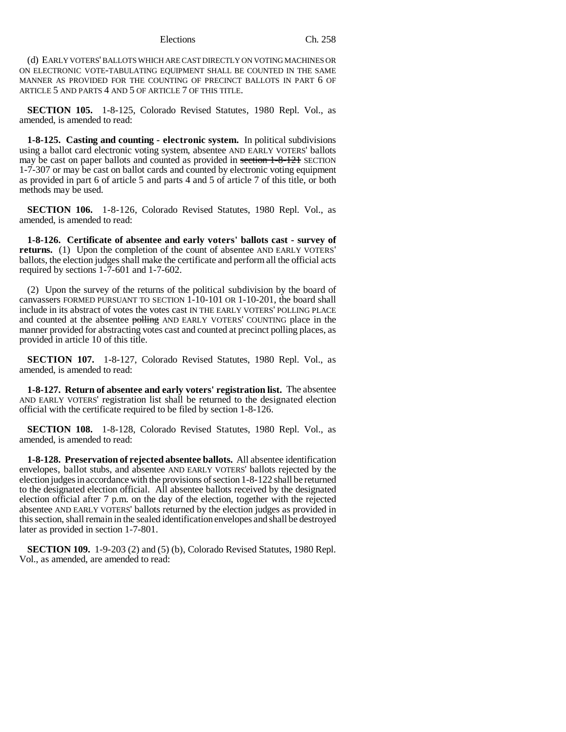(d) EARLY VOTERS' BALLOTS WHICH ARE CAST DIRECTLY ON VOTING MACHINES OR ON ELECTRONIC VOTE-TABULATING EQUIPMENT SHALL BE COUNTED IN THE SAME MANNER AS PROVIDED FOR THE COUNTING OF PRECINCT BALLOTS IN PART 6 OF ARTICLE 5 AND PARTS 4 AND 5 OF ARTICLE 7 OF THIS TITLE.

**SECTION 105.** 1-8-125, Colorado Revised Statutes, 1980 Repl. Vol., as amended, is amended to read:

**1-8-125. Casting and counting - electronic system.** In political subdivisions using a ballot card electronic voting system, absentee AND EARLY VOTERS' ballots may be cast on paper ballots and counted as provided in section 1-8-121 SECTION 1-7-307 or may be cast on ballot cards and counted by electronic voting equipment as provided in part 6 of article 5 and parts 4 and 5 of article 7 of this title, or both methods may be used.

**SECTION 106.** 1-8-126, Colorado Revised Statutes, 1980 Repl. Vol., as amended, is amended to read:

**1-8-126. Certificate of absentee and early voters' ballots cast - survey of returns.** (1) Upon the completion of the count of absentee AND EARLY VOTERS' ballots, the election judges shall make the certificate and perform all the official acts required by sections 1-7-601 and 1-7-602.

(2) Upon the survey of the returns of the political subdivision by the board of canvassers FORMED PURSUANT TO SECTION 1-10-101 OR 1-10-201, the board shall include in its abstract of votes the votes cast IN THE EARLY VOTERS' POLLING PLACE and counted at the absentee polling AND EARLY VOTERS' COUNTING place in the manner provided for abstracting votes cast and counted at precinct polling places, as provided in article 10 of this title.

**SECTION 107.** 1-8-127, Colorado Revised Statutes, 1980 Repl. Vol., as amended, is amended to read:

**1-8-127. Return of absentee and early voters' registration list.** The absentee AND EARLY VOTERS' registration list shall be returned to the designated election official with the certificate required to be filed by section 1-8-126.

**SECTION 108.** 1-8-128, Colorado Revised Statutes, 1980 Repl. Vol., as amended, is amended to read:

**1-8-128. Preservation of rejected absentee ballots.** All absentee identification envelopes, ballot stubs, and absentee AND EARLY VOTERS' ballots rejected by the election judges in accordance with the provisions of section 1-8-122 shall be returned to the designated election official. All absentee ballots received by the designated election official after 7 p.m. on the day of the election, together with the rejected absentee AND EARLY VOTERS' ballots returned by the election judges as provided in this section, shall remain in the sealed identification envelopes and shall be destroyed later as provided in section 1-7-801.

**SECTION 109.** 1-9-203 (2) and (5) (b), Colorado Revised Statutes, 1980 Repl. Vol., as amended, are amended to read: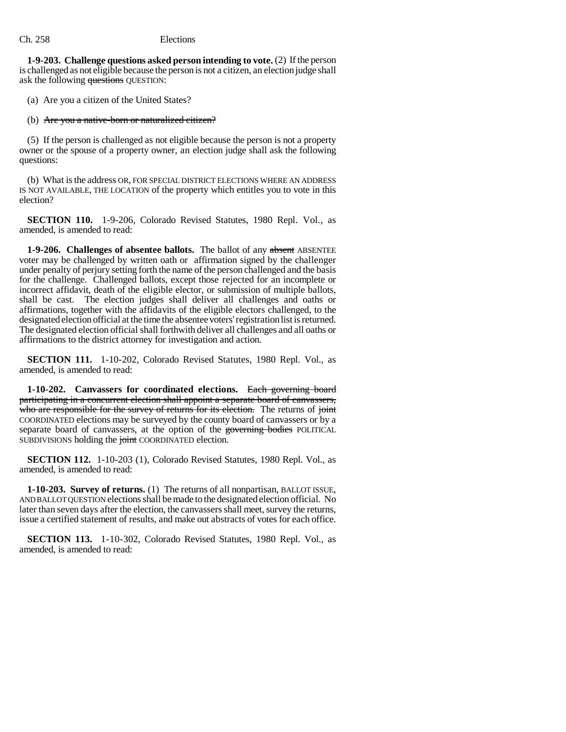**1-9-203. Challenge questions asked person intending to vote.** (2) If the person is challenged as not eligible because the person is not a citizen, an election judge shall ask the following questions OUESTION:

(a) Are you a citizen of the United States?

#### (b) Are you a native-born or naturalized citizen?

(5) If the person is challenged as not eligible because the person is not a property owner or the spouse of a property owner, an election judge shall ask the following questions:

(b) What is the address OR, FOR SPECIAL DISTRICT ELECTIONS WHERE AN ADDRESS IS NOT AVAILABLE, THE LOCATION of the property which entitles you to vote in this election?

**SECTION 110.** 1-9-206, Colorado Revised Statutes, 1980 Repl. Vol., as amended, is amended to read:

**1-9-206. Challenges of absentee ballots.** The ballot of any absent ABSENTEE voter may be challenged by written oath or affirmation signed by the challenger under penalty of perjury setting forth the name of the person challenged and the basis for the challenge. Challenged ballots, except those rejected for an incomplete or incorrect affidavit, death of the eligible elector, or submission of multiple ballots, shall be cast. The election judges shall deliver all challenges and oaths or affirmations, together with the affidavits of the eligible electors challenged, to the designated election official at the time the absentee voters' registration list is returned. The designated election official shall forthwith deliver all challenges and all oaths or affirmations to the district attorney for investigation and action.

**SECTION 111.** 1-10-202, Colorado Revised Statutes, 1980 Repl. Vol., as amended, is amended to read:

**1-10-202. Canvassers for coordinated elections.** Each governing board participating in a concurrent election shall appoint a separate board of canvassers, who are responsible for the survey of returns for its election. The returns of joint COORDINATED elections may be surveyed by the county board of canvassers or by a separate board of canvassers, at the option of the governing bodies POLITICAL SUBDIVISIONS holding the joint COORDINATED election.

**SECTION 112.** 1-10-203 (1), Colorado Revised Statutes, 1980 Repl. Vol., as amended, is amended to read:

**1-10-203. Survey of returns.** (1) The returns of all nonpartisan, BALLOT ISSUE, AND BALLOT QUESTION elections shall be made to the designated election official. No later than seven days after the election, the canvassers shall meet, survey the returns, issue a certified statement of results, and make out abstracts of votes for each office.

**SECTION 113.** 1-10-302, Colorado Revised Statutes, 1980 Repl. Vol., as amended, is amended to read: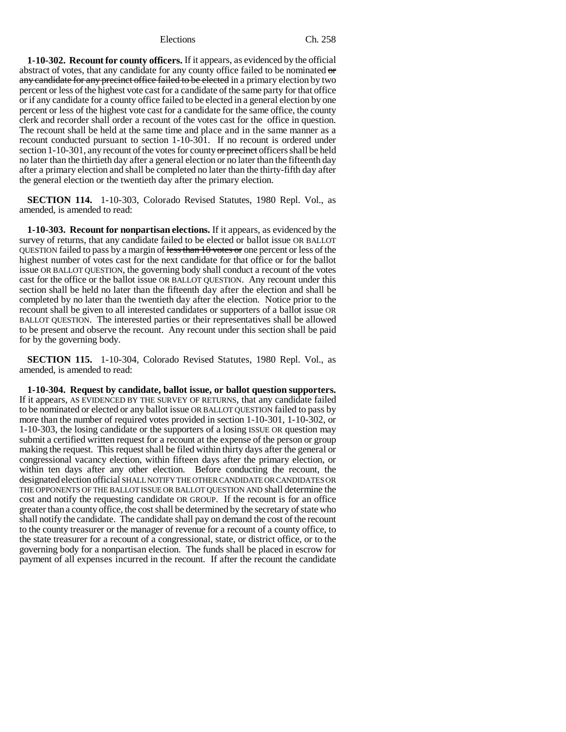**1-10-302. Recount for county officers.** If it appears, as evidenced by the official abstract of votes, that any candidate for any county office failed to be nominated or any candidate for any precinct office failed to be elected in a primary election by two percent or less of the highest vote cast for a candidate of the same party for that office or if any candidate for a county office failed to be elected in a general election by one percent or less of the highest vote cast for a candidate for the same office, the county clerk and recorder shall order a recount of the votes cast for the office in question. The recount shall be held at the same time and place and in the same manner as a recount conducted pursuant to section 1-10-301. If no recount is ordered under section  $1-10-301$ , any recount of the votes for county or precinct officers shall be held no later than the thirtieth day after a general election or no later than the fifteenth day after a primary election and shall be completed no later than the thirty-fifth day after the general election or the twentieth day after the primary election.

**SECTION 114.** 1-10-303, Colorado Revised Statutes, 1980 Repl. Vol., as amended, is amended to read:

**1-10-303. Recount for nonpartisan elections.** If it appears, as evidenced by the survey of returns, that any candidate failed to be elected or ballot issue OR BALLOT QUESTION failed to pass by a margin of less than 10 votes or one percent or less of the highest number of votes cast for the next candidate for that office or for the ballot issue OR BALLOT QUESTION, the governing body shall conduct a recount of the votes cast for the office or the ballot issue OR BALLOT QUESTION. Any recount under this section shall be held no later than the fifteenth day after the election and shall be completed by no later than the twentieth day after the election. Notice prior to the recount shall be given to all interested candidates or supporters of a ballot issue OR BALLOT QUESTION. The interested parties or their representatives shall be allowed to be present and observe the recount. Any recount under this section shall be paid for by the governing body.

**SECTION 115.** 1-10-304, Colorado Revised Statutes, 1980 Repl. Vol., as amended, is amended to read:

**1-10-304. Request by candidate, ballot issue, or ballot question supporters.** If it appears, AS EVIDENCED BY THE SURVEY OF RETURNS, that any candidate failed to be nominated or elected or any ballot issue OR BALLOT QUESTION failed to pass by more than the number of required votes provided in section 1-10-301, 1-10-302, or 1-10-303, the losing candidate or the supporters of a losing ISSUE OR question may submit a certified written request for a recount at the expense of the person or group making the request. This request shall be filed within thirty days after the general or congressional vacancy election, within fifteen days after the primary election, or within ten days after any other election. Before conducting the recount, the designated election official SHALL NOTIFY THE OTHER CANDIDATE OR CANDIDATES OR THE OPPONENTS OF THE BALLOT ISSUE OR BALLOT QUESTION AND shall determine the cost and notify the requesting candidate OR GROUP. If the recount is for an office greater than a county office, the cost shall be determined by the secretary of state who shall notify the candidate. The candidate shall pay on demand the cost of the recount to the county treasurer or the manager of revenue for a recount of a county office, to the state treasurer for a recount of a congressional, state, or district office, or to the governing body for a nonpartisan election. The funds shall be placed in escrow for payment of all expenses incurred in the recount. If after the recount the candidate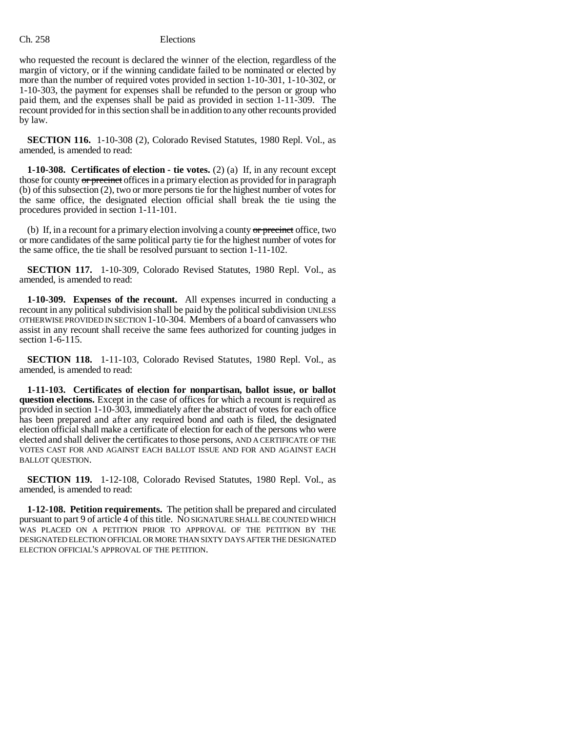who requested the recount is declared the winner of the election, regardless of the margin of victory, or if the winning candidate failed to be nominated or elected by more than the number of required votes provided in section 1-10-301, 1-10-302, or 1-10-303, the payment for expenses shall be refunded to the person or group who paid them, and the expenses shall be paid as provided in section 1-11-309. The recount provided for in this section shall be in addition to any other recounts provided by law.

**SECTION 116.** 1-10-308 (2), Colorado Revised Statutes, 1980 Repl. Vol., as amended, is amended to read:

**1-10-308. Certificates of election - tie votes.** (2) (a) If, in any recount except those for county or precinct offices in a primary election as provided for in paragraph (b) of this subsection (2), two or more persons tie for the highest number of votes for the same office, the designated election official shall break the tie using the procedures provided in section 1-11-101.

(b) If, in a recount for a primary election involving a county or precinct office, two or more candidates of the same political party tie for the highest number of votes for the same office, the tie shall be resolved pursuant to section 1-11-102.

**SECTION 117.** 1-10-309, Colorado Revised Statutes, 1980 Repl. Vol., as amended, is amended to read:

**1-10-309. Expenses of the recount.** All expenses incurred in conducting a recount in any political subdivision shall be paid by the political subdivision UNLESS OTHERWISE PROVIDED IN SECTION 1-10-304. Members of a board of canvassers who assist in any recount shall receive the same fees authorized for counting judges in section 1-6-115.

**SECTION 118.** 1-11-103, Colorado Revised Statutes, 1980 Repl. Vol., as amended, is amended to read:

**1-11-103. Certificates of election for nonpartisan, ballot issue, or ballot question elections.** Except in the case of offices for which a recount is required as provided in section 1-10-303, immediately after the abstract of votes for each office has been prepared and after any required bond and oath is filed, the designated election official shall make a certificate of election for each of the persons who were elected and shall deliver the certificates to those persons, AND A CERTIFICATE OF THE VOTES CAST FOR AND AGAINST EACH BALLOT ISSUE AND FOR AND AGAINST EACH BALLOT QUESTION.

**SECTION 119.** 1-12-108, Colorado Revised Statutes, 1980 Repl. Vol., as amended, is amended to read:

**1-12-108. Petition requirements.** The petition shall be prepared and circulated pursuant to part 9 of article 4 of this title. NO SIGNATURE SHALL BE COUNTED WHICH WAS PLACED ON A PETITION PRIOR TO APPROVAL OF THE PETITION BY THE DESIGNATED ELECTION OFFICIAL OR MORE THAN SIXTY DAYS AFTER THE DESIGNATED ELECTION OFFICIAL'S APPROVAL OF THE PETITION.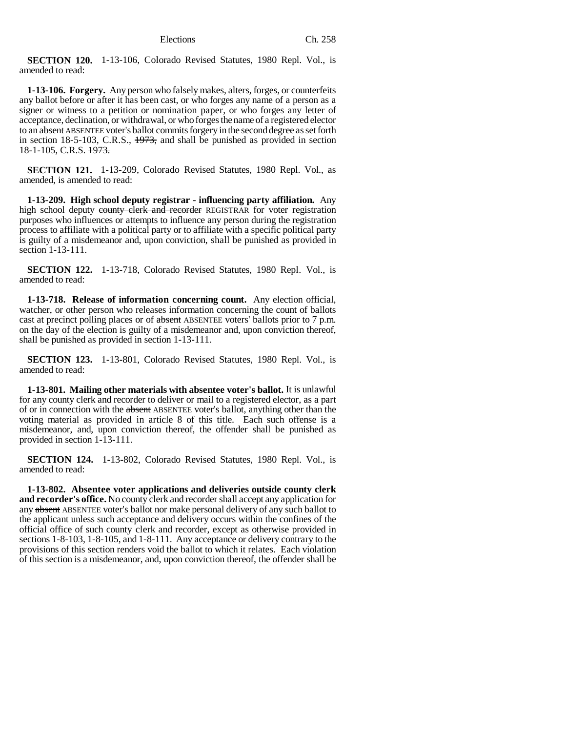**SECTION 120.** 1-13-106, Colorado Revised Statutes, 1980 Repl. Vol., is amended to read:

**1-13-106. Forgery.** Any person who falsely makes, alters, forges, or counterfeits any ballot before or after it has been cast, or who forges any name of a person as a signer or witness to a petition or nomination paper, or who forges any letter of acceptance, declination, or withdrawal, or who forges the name of a registered elector to an absent ABSENTEE voter's ballot commits forgery in the second degree as set forth in section 18-5-103, C.R.S., 1973, and shall be punished as provided in section 18-1-105, C.R.S. 1973.

**SECTION 121.** 1-13-209, Colorado Revised Statutes, 1980 Repl. Vol., as amended, is amended to read:

**1-13-209. High school deputy registrar - influencing party affiliation.** Any high school deputy county clerk and recorder REGISTRAR for voter registration purposes who influences or attempts to influence any person during the registration process to affiliate with a political party or to affiliate with a specific political party is guilty of a misdemeanor and, upon conviction, shall be punished as provided in section 1-13-111.

**SECTION 122.** 1-13-718, Colorado Revised Statutes, 1980 Repl. Vol., is amended to read:

**1-13-718. Release of information concerning count.** Any election official, watcher, or other person who releases information concerning the count of ballots cast at precinct polling places or of absent ABSENTEE voters' ballots prior to 7 p.m. on the day of the election is guilty of a misdemeanor and, upon conviction thereof, shall be punished as provided in section 1-13-111.

**SECTION 123.** 1-13-801, Colorado Revised Statutes, 1980 Repl. Vol., is amended to read:

**1-13-801. Mailing other materials with absentee voter's ballot.** It is unlawful for any county clerk and recorder to deliver or mail to a registered elector, as a part of or in connection with the absent ABSENTEE voter's ballot, anything other than the voting material as provided in article 8 of this title. Each such offense is a misdemeanor, and, upon conviction thereof, the offender shall be punished as provided in section 1-13-111.

**SECTION 124.** 1-13-802, Colorado Revised Statutes, 1980 Repl. Vol., is amended to read:

**1-13-802. Absentee voter applications and deliveries outside county clerk and recorder's office.** No county clerk and recorder shall accept any application for any absent ABSENTEE voter's ballot nor make personal delivery of any such ballot to the applicant unless such acceptance and delivery occurs within the confines of the official office of such county clerk and recorder, except as otherwise provided in sections 1-8-103, 1-8-105, and 1-8-111. Any acceptance or delivery contrary to the provisions of this section renders void the ballot to which it relates. Each violation of this section is a misdemeanor, and, upon conviction thereof, the offender shall be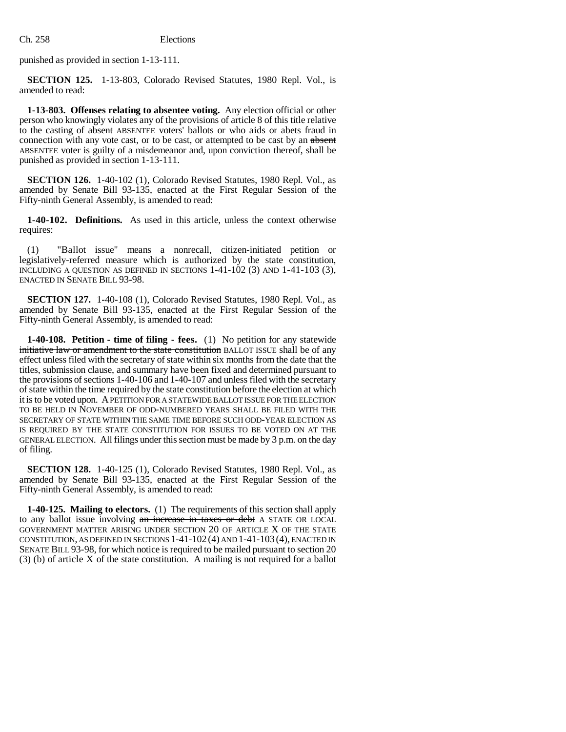punished as provided in section 1-13-111.

**SECTION 125.** 1-13-803, Colorado Revised Statutes, 1980 Repl. Vol., is amended to read:

**1-13-803. Offenses relating to absentee voting.** Any election official or other person who knowingly violates any of the provisions of article 8 of this title relative to the casting of absent ABSENTEE voters' ballots or who aids or abets fraud in connection with any vote cast, or to be cast, or attempted to be cast by an absent ABSENTEE voter is guilty of a misdemeanor and, upon conviction thereof, shall be punished as provided in section 1-13-111.

**SECTION 126.** 1-40-102 (1), Colorado Revised Statutes, 1980 Repl. Vol., as amended by Senate Bill 93-135, enacted at the First Regular Session of the Fifty-ninth General Assembly, is amended to read:

**1-40-102. Definitions.** As used in this article, unless the context otherwise requires:

(1) "Ballot issue" means a nonrecall, citizen-initiated petition or legislatively-referred measure which is authorized by the state constitution, INCLUDING A QUESTION AS DEFINED IN SECTIONS 1-41-102 (3) AND 1-41-103 (3), ENACTED IN SENATE BILL 93-98.

**SECTION 127.** 1-40-108 (1), Colorado Revised Statutes, 1980 Repl. Vol., as amended by Senate Bill 93-135, enacted at the First Regular Session of the Fifty-ninth General Assembly, is amended to read:

**1-40-108. Petition - time of filing - fees.** (1) No petition for any statewide initiative law or amendment to the state constitution BALLOT ISSUE shall be of any effect unless filed with the secretary of state within six months from the date that the titles, submission clause, and summary have been fixed and determined pursuant to the provisions of sections 1-40-106 and 1-40-107 and unless filed with the secretary of state within the time required by the state constitution before the election at which it is to be voted upon. A PETITION FOR A STATEWIDE BALLOT ISSUE FOR THE ELECTION TO BE HELD IN NOVEMBER OF ODD-NUMBERED YEARS SHALL BE FILED WITH THE SECRETARY OF STATE WITHIN THE SAME TIME BEFORE SUCH ODD-YEAR ELECTION AS IS REQUIRED BY THE STATE CONSTITUTION FOR ISSUES TO BE VOTED ON AT THE GENERAL ELECTION. All filings under this section must be made by 3 p.m. on the day of filing.

**SECTION 128.** 1-40-125 (1), Colorado Revised Statutes, 1980 Repl. Vol., as amended by Senate Bill 93-135, enacted at the First Regular Session of the Fifty-ninth General Assembly, is amended to read:

**1-40-125. Mailing to electors.** (1) The requirements of this section shall apply to any ballot issue involving an increase in taxes or debt A STATE OR LOCAL GOVERNMENT MATTER ARISING UNDER SECTION 20 OF ARTICLE X OF THE STATE CONSTITUTION, AS DEFINED IN SECTIONS 1-41-102 (4) AND 1-41-103 (4), ENACTED IN SENATE BILL 93-98, for which notice is required to be mailed pursuant to section 20 (3) (b) of article X of the state constitution. A mailing is not required for a ballot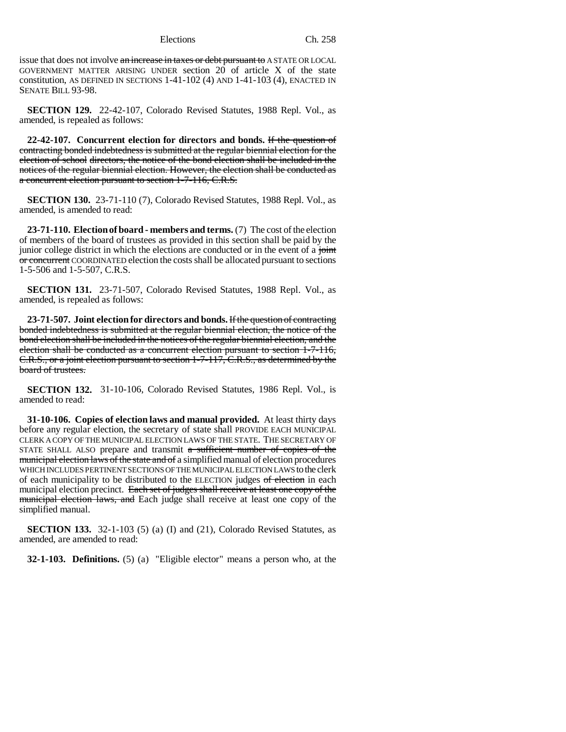issue that does not involve an increase in taxes or debt pursuant to A STATE OR LOCAL GOVERNMENT MATTER ARISING UNDER section 20 of article X of the state constitution, AS DEFINED IN SECTIONS 1-41-102 (4) AND 1-41-103 (4), ENACTED IN SENATE BILL 93-98.

**SECTION 129.** 22-42-107, Colorado Revised Statutes, 1988 Repl. Vol., as amended, is repealed as follows:

**22-42-107. Concurrent election for directors and bonds.** If the question of contracting bonded indebtedness is submitted at the regular biennial election for the election of school directors, the notice of the bond election shall be included in the notices of the regular biennial election. However, the election shall be conducted as a concurrent election pursuant to section 1-7-116, C.R.S.

**SECTION 130.** 23-71-110 (7), Colorado Revised Statutes, 1988 Repl. Vol., as amended, is amended to read:

**23-71-110. Election of board - members and terms.** (7) The cost of the election of members of the board of trustees as provided in this section shall be paid by the junior college district in which the elections are conducted or in the event of a joint or concurrent COORDINATED election the costs shall be allocated pursuant to sections 1-5-506 and 1-5-507, C.R.S.

**SECTION 131.** 23-71-507, Colorado Revised Statutes, 1988 Repl. Vol., as amended, is repealed as follows:

**23-71-507. Joint election for directors and bonds.** If the question of contracting bonded indebtedness is submitted at the regular biennial election, the notice of the bond election shall be included in the notices of the regular biennial election, and the election shall be conducted as a concurrent election pursuant to section 1-7-116, C.R.S., or a joint election pursuant to section 1-7-117, C.R.S., as determined by the board of trustees.

**SECTION 132.** 31-10-106, Colorado Revised Statutes, 1986 Repl. Vol., is amended to read:

**31-10-106. Copies of election laws and manual provided.** At least thirty days before any regular election, the secretary of state shall PROVIDE EACH MUNICIPAL CLERK A COPY OF THE MUNICIPAL ELECTION LAWS OF THE STATE. THE SECRETARY OF STATE SHALL ALSO prepare and transmit  $a$  sufficient number of copies of the municipal election laws of the state and of a simplified manual of election procedures WHICH INCLUDES PERTINENT SECTIONS OF THE MUNICIPAL ELECTION LAWS to the clerk of each municipality to be distributed to the ELECTION judges of election in each municipal election precinct. Each set of judges shall receive at least one copy of the municipal election laws, and Each judge shall receive at least one copy of the simplified manual.

**SECTION 133.** 32-1-103 (5) (a) (I) and (21), Colorado Revised Statutes, as amended, are amended to read:

**32-1-103. Definitions.** (5) (a) "Eligible elector" means a person who, at the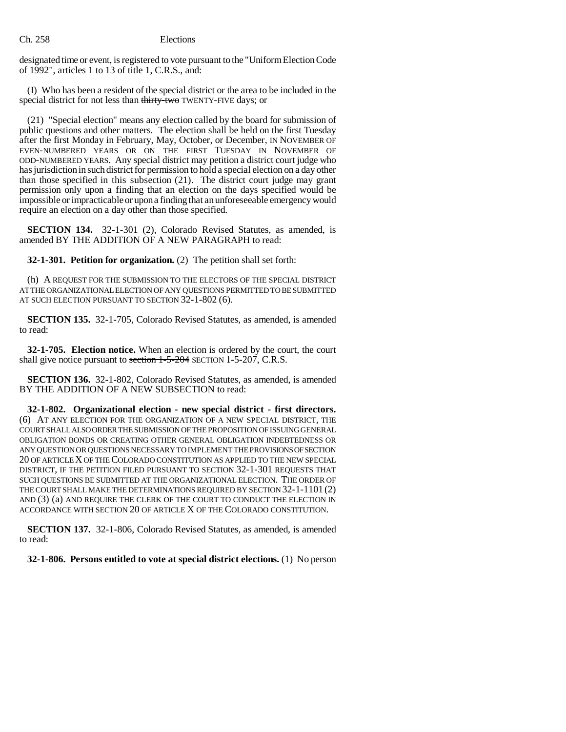designated time or event, is registered to vote pursuant to the "Uniform Election Code of 1992", articles 1 to 13 of title 1, C.R.S., and:

(I) Who has been a resident of the special district or the area to be included in the special district for not less than thirty-two TWENTY-FIVE days; or

(21) "Special election" means any election called by the board for submission of public questions and other matters. The election shall be held on the first Tuesday after the first Monday in February, May, October, or December, IN NOVEMBER OF EVEN-NUMBERED YEARS OR ON THE FIRST TUESDAY IN NOVEMBER OF ODD-NUMBERED YEARS. Any special district may petition a district court judge who has jurisdiction in such district for permission to hold a special election on a day other than those specified in this subsection (21). The district court judge may grant permission only upon a finding that an election on the days specified would be impossible or impracticable or upon a finding that an unforeseeable emergency would require an election on a day other than those specified.

**SECTION 134.** 32-1-301 (2), Colorado Revised Statutes, as amended, is amended BY THE ADDITION OF A NEW PARAGRAPH to read:

**32-1-301. Petition for organization.** (2) The petition shall set forth:

(h) A REQUEST FOR THE SUBMISSION TO THE ELECTORS OF THE SPECIAL DISTRICT AT THE ORGANIZATIONAL ELECTION OF ANY QUESTIONS PERMITTED TO BE SUBMITTED AT SUCH ELECTION PURSUANT TO SECTION 32-1-802 (6).

**SECTION 135.** 32-1-705, Colorado Revised Statutes, as amended, is amended to read:

**32-1-705. Election notice.** When an election is ordered by the court, the court shall give notice pursuant to section 1-5-204 SECTION 1-5-207, C.R.S.

**SECTION 136.** 32-1-802, Colorado Revised Statutes, as amended, is amended BY THE ADDITION OF A NEW SUBSECTION to read:

**32-1-802. Organizational election - new special district - first directors.** (6) AT ANY ELECTION FOR THE ORGANIZATION OF A NEW SPECIAL DISTRICT, THE COURT SHALL ALSO ORDER THE SUBMISSION OF THE PROPOSITION OF ISSUING GENERAL OBLIGATION BONDS OR CREATING OTHER GENERAL OBLIGATION INDEBTEDNESS OR ANY QUESTION OR QUESTIONS NECESSARY TO IMPLEMENT THE PROVISIONS OF SECTION 20 OF ARTICLE X OF THE COLORADO CONSTITUTION AS APPLIED TO THE NEW SPECIAL DISTRICT, IF THE PETITION FILED PURSUANT TO SECTION 32-1-301 REQUESTS THAT SUCH QUESTIONS BE SUBMITTED AT THE ORGANIZATIONAL ELECTION. THE ORDER OF THE COURT SHALL MAKE THE DETERMINATIONS REQUIRED BY SECTION 32-1-1101 (2) AND (3) (a) AND REQUIRE THE CLERK OF THE COURT TO CONDUCT THE ELECTION IN ACCORDANCE WITH SECTION 20 OF ARTICLE X OF THE COLORADO CONSTITUTION.

**SECTION 137.** 32-1-806, Colorado Revised Statutes, as amended, is amended to read:

**32-1-806. Persons entitled to vote at special district elections.** (1) No person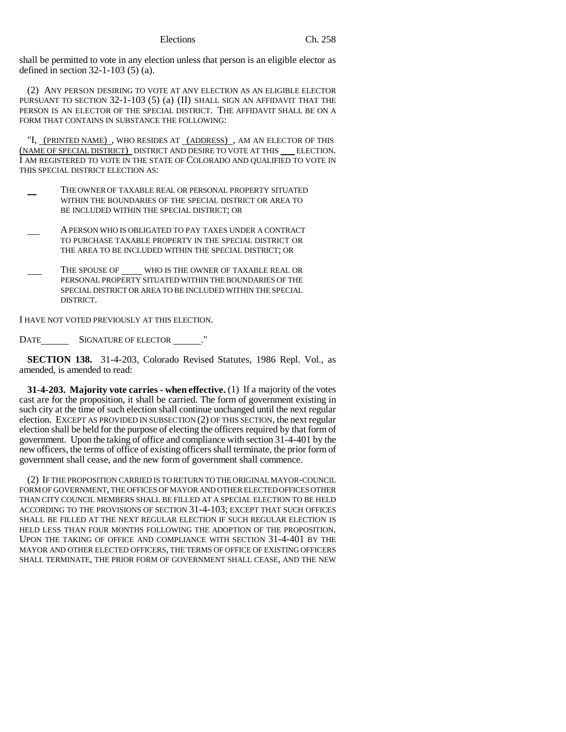shall be permitted to vote in any election unless that person is an eligible elector as defined in section 32-1-103 (5) (a).

(2) ANY PERSON DESIRING TO VOTE AT ANY ELECTION AS AN ELIGIBLE ELECTOR PURSUANT TO SECTION 32-1-103 (5) (a) (II) SHALL SIGN AN AFFIDAVIT THAT THE PERSON IS AN ELECTOR OF THE SPECIAL DISTRICT. THE AFFIDAVIT SHALL BE ON A FORM THAT CONTAINS IN SUBSTANCE THE FOLLOWING:

"I, (PRINTED NAME) , WHO RESIDES AT (ADDRESS) , AM AN ELECTOR OF THIS (NAME OF SPECIAL DISTRICT) DISTRICT AND DESIRE TO VOTE AT THIS ELECTION. I AM REGISTERED TO VOTE IN THE STATE OF COLORADO AND QUALIFIED TO VOTE IN THIS SPECIAL DISTRICT ELECTION AS:

- THE OWNER OF TAXABLE REAL OR PERSONAL PROPERTY SITUATED WITHIN THE BOUNDARIES OF THE SPECIAL DISTRICT OR AREA TO BE INCLUDED WITHIN THE SPECIAL DISTRICT; OR
- A PERSON WHO IS OBLIGATED TO PAY TAXES UNDER A CONTRACT TO PURCHASE TAXABLE PROPERTY IN THE SPECIAL DISTRICT OR THE AREA TO BE INCLUDED WITHIN THE SPECIAL DISTRICT; OR
- THE SPOUSE OF WHO IS THE OWNER OF TAXABLE REAL OR PERSONAL PROPERTY SITUATED WITHIN THE BOUNDARIES OF THE SPECIAL DISTRICT OR AREA TO BE INCLUDED WITHIN THE SPECIAL DISTRICT.

I HAVE NOT VOTED PREVIOUSLY AT THIS ELECTION.

DATE SIGNATURE OF ELECTOR ........"

**SECTION 138.** 31-4-203, Colorado Revised Statutes, 1986 Repl. Vol., as amended, is amended to read:

**31-4-203. Majority vote carries - when effective.** (1) If a majority of the votes cast are for the proposition, it shall be carried. The form of government existing in such city at the time of such election shall continue unchanged until the next regular election. EXCEPT AS PROVIDED IN SUBSECTION (2) OF THIS SECTION, the next regular election shall be held for the purpose of electing the officers required by that form of government. Upon the taking of office and compliance with section 31-4-401 by the new officers, the terms of office of existing officers shall terminate, the prior form of government shall cease, and the new form of government shall commence.

(2) IF THE PROPOSITION CARRIED IS TO RETURN TO THE ORIGINAL MAYOR-COUNCIL FORM OF GOVERNMENT, THE OFFICES OF MAYOR AND OTHER ELECTED OFFICES OTHER THAN CITY COUNCIL MEMBERS SHALL BE FILLED AT A SPECIAL ELECTION TO BE HELD ACCORDING TO THE PROVISIONS OF SECTION 31-4-103; EXCEPT THAT SUCH OFFICES SHALL BE FILLED AT THE NEXT REGULAR ELECTION IF SUCH REGULAR ELECTION IS HELD LESS THAN FOUR MONTHS FOLLOWING THE ADOPTION OF THE PROPOSITION. UPON THE TAKING OF OFFICE AND COMPLIANCE WITH SECTION 31-4-401 BY THE MAYOR AND OTHER ELECTED OFFICERS, THE TERMS OF OFFICE OF EXISTING OFFICERS SHALL TERMINATE, THE PRIOR FORM OF GOVERNMENT SHALL CEASE, AND THE NEW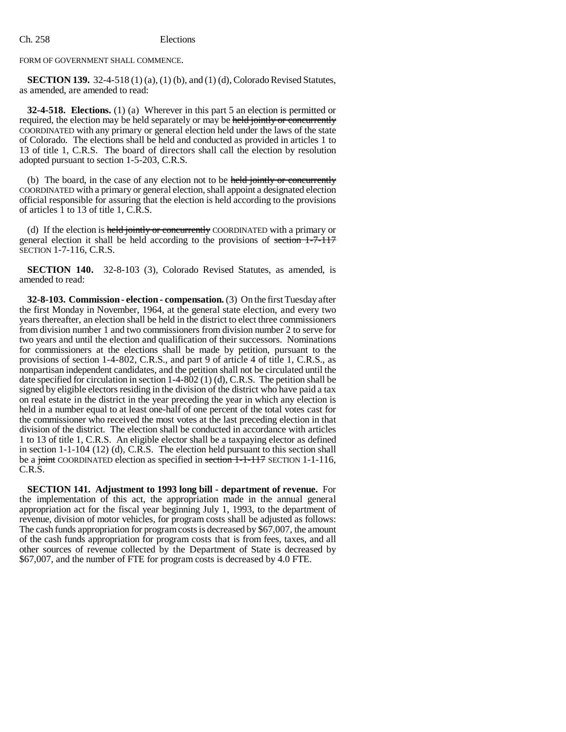FORM OF GOVERNMENT SHALL COMMENCE.

**SECTION 139.** 32-4-518 (1) (a), (1) (b), and (1) (d), Colorado Revised Statutes, as amended, are amended to read:

**32-4-518. Elections.** (1) (a) Wherever in this part 5 an election is permitted or required, the election may be held separately or may be held jointly or concurrently COORDINATED with any primary or general election held under the laws of the state of Colorado. The elections shall be held and conducted as provided in articles 1 to 13 of title 1, C.R.S. The board of directors shall call the election by resolution adopted pursuant to section 1-5-203, C.R.S.

(b) The board, in the case of any election not to be held jointly or concurrently COORDINATED with a primary or general election, shall appoint a designated election official responsible for assuring that the election is held according to the provisions of articles 1 to 13 of title 1, C.R.S.

(d) If the election is held jointly or concurrently COORDINATED with a primary or general election it shall be held according to the provisions of section 1-7-117 SECTION 1-7-116, C.R.S.

**SECTION 140.** 32-8-103 (3), Colorado Revised Statutes, as amended, is amended to read:

**32-8-103. Commission - election - compensation.** (3) On the first Tuesday after the first Monday in November, 1964, at the general state election, and every two years thereafter, an election shall be held in the district to elect three commissioners from division number 1 and two commissioners from division number 2 to serve for two years and until the election and qualification of their successors. Nominations for commissioners at the elections shall be made by petition, pursuant to the provisions of section 1-4-802, C.R.S., and part 9 of article 4 of title 1, C.R.S., as nonpartisan independent candidates, and the petition shall not be circulated until the date specified for circulation in section 1-4-802 (1) (d), C.R.S. The petition shall be signed by eligible electors residing in the division of the district who have paid a tax on real estate in the district in the year preceding the year in which any election is held in a number equal to at least one-half of one percent of the total votes cast for the commissioner who received the most votes at the last preceding election in that division of the district. The election shall be conducted in accordance with articles 1 to 13 of title 1, C.R.S. An eligible elector shall be a taxpaying elector as defined in section 1-1-104 (12) (d), C.R.S. The election held pursuant to this section shall be a joint COORDINATED election as specified in section 1-1-117 SECTION 1-1-116, C.R.S.

**SECTION 141. Adjustment to 1993 long bill - department of revenue.** For the implementation of this act, the appropriation made in the annual general appropriation act for the fiscal year beginning July 1, 1993, to the department of revenue, division of motor vehicles, for program costs shall be adjusted as follows: The cash funds appropriation for program costs is decreased by \$67,007, the amount of the cash funds appropriation for program costs that is from fees, taxes, and all other sources of revenue collected by the Department of State is decreased by \$67,007, and the number of FTE for program costs is decreased by 4.0 FTE.